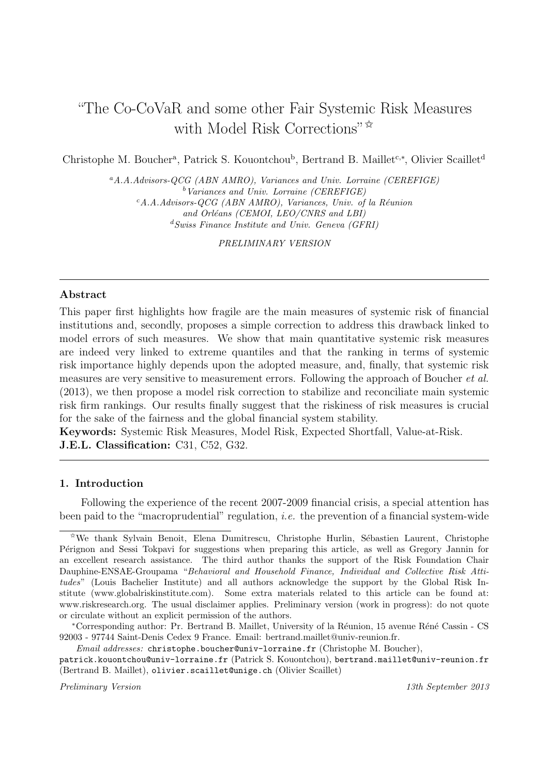# "The Co-CoVaR and some other Fair Systemic Risk Measures with Model Risk Corrections" $\star$

Christophe M. Boucher<sup>a</sup>, Patrick S. Kouontchou<sup>b</sup>, Bertrand B. Maillet<sup>c,∗</sup>, Olivier Scaillet<sup>d</sup>

*<sup>a</sup>A.A.Advisors-QCG (ABN AMRO), Variances and Univ. Lorraine (CEREFIGE) <sup>b</sup>Variances and Univ. Lorraine (CEREFIGE) <sup>c</sup>A.A.Advisors-QCG (ABN AMRO), Variances, Univ. of la R´eunion* and Orléans (CEMOI, LEO/CNRS and LBI) *<sup>d</sup>Swiss Finance Institute and Univ. Geneva (GFRI)*

*PRELIMINARY VERSION*

## **Abstract**

This paper first highlights how fragile are the main measures of systemic risk of financial institutions and, secondly, proposes a simple correction to address this drawback linked to model errors of such measures. We show that main quantitative systemic risk measures are indeed very linked to extreme quantiles and that the ranking in terms of systemic risk importance highly depends upon the adopted measure, and, finally, that systemic risk measures are very sensitive to measurement errors. Following the approach of Boucher et al. (2013), we then propose a model risk correction to stabilize and reconciliate main systemic risk firm rankings. Our results finally suggest that the riskiness of risk measures is crucial for the sake of the fairness and the global financial system stability.

**Keywords:** Systemic Risk Measures, Model Risk, Expected Shortfall, Value-at-Risk. **J.E.L. Classification:** C31, C52, G32.

## **1. Introduction**

Following the experience of the recent 2007-2009 financial crisis, a special attention has been paid to the "macroprudential" regulation, *i.e.* the prevention of a financial system-wide

*Email addresses:* christophe.boucher@univ-lorraine.fr (Christophe M. Boucher),

patrick.kouontchou@univ-lorraine.fr (Patrick S. Kouontchou), bertrand.maillet@univ-reunion.fr (Bertrand B. Maillet), olivier.scaillet@unige.ch (Olivier Scaillet)

*Preliminary Version 13th September 2013*

 $*$ We thank Sylvain Benoit, Elena Dumitrescu, Christophe Hurlin, Sébastien Laurent, Christophe Pérignon and Sessi Tokpavi for suggestions when preparing this article, as well as Gregory Jannin for an excellent research assistance. The third author thanks the support of the Risk Foundation Chair Dauphine-ENSAE-Groupama "*Behavioral and Household Finance, Individual and Collective Risk Attitudes*" (Louis Bachelier Institute) and all authors acknowledge the support by the Global Risk Institute (www.globalriskinstitute.com). Some extra materials related to this article can be found at: www.riskresearch.org. The usual disclaimer applies. Preliminary version (work in progress): do not quote or circulate without an explicit permission of the authors.

<sup>\*</sup>Corresponding author: Pr. Bertrand B. Maillet, University of la Réunion, 15 avenue Réné Cassin - CS 92003 - 97744 Saint-Denis Cedex 9 France. Email: bertrand.maillet@univ-reunion.fr.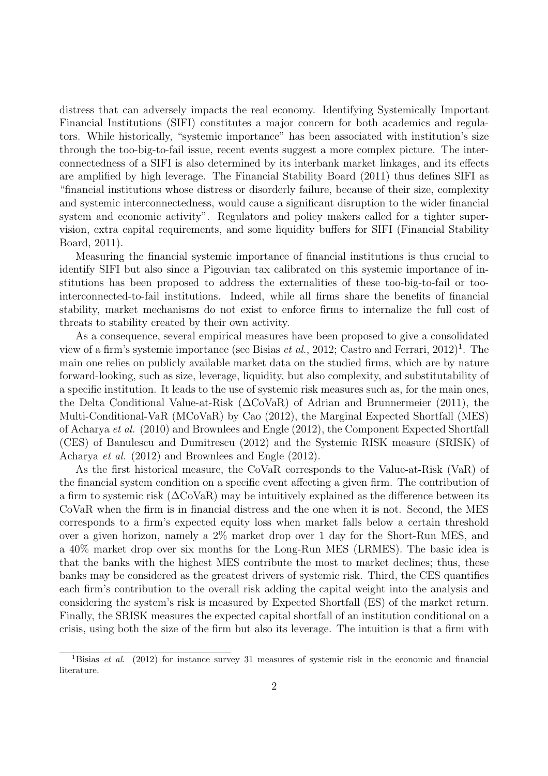distress that can adversely impacts the real economy. Identifying Systemically Important Financial Institutions (SIFI) constitutes a major concern for both academics and regulators. While historically, "systemic importance" has been associated with institution's size through the too-big-to-fail issue, recent events suggest a more complex picture. The interconnectedness of a SIFI is also determined by its interbank market linkages, and its effects are amplified by high leverage. The Financial Stability Board (2011) thus defines SIFI as "financial institutions whose distress or disorderly failure, because of their size, complexity and systemic interconnectedness, would cause a significant disruption to the wider financial system and economic activity". Regulators and policy makers called for a tighter supervision, extra capital requirements, and some liquidity buffers for SIFI (Financial Stability Board, 2011).

Measuring the financial systemic importance of financial institutions is thus crucial to identify SIFI but also since a Pigouvian tax calibrated on this systemic importance of institutions has been proposed to address the externalities of these too-big-to-fail or toointerconnected-to-fail institutions. Indeed, while all firms share the benefits of financial stability, market mechanisms do not exist to enforce firms to internalize the full cost of threats to stability created by their own activity.

As a consequence, several empirical measures have been proposed to give a consolidated view of a firm's systemic importance (see Bisias *et al.*, 2012; Castro and Ferrari, 2012)<sup>1</sup>. The main one relies on publicly available market data on the studied firms, which are by nature forward-looking, such as size, leverage, liquidity, but also complexity, and substitutability of a specific institution. It leads to the use of systemic risk measures such as, for the main ones, the Delta Conditional Value-at-Risk (∆CoVaR) of Adrian and Brunnermeier (2011), the Multi-Conditional-VaR (MCoVaR) by Cao (2012), the Marginal Expected Shortfall (MES) of Acharya et al. (2010) and Brownlees and Engle (2012), the Component Expected Shortfall (CES) of Banulescu and Dumitrescu (2012) and the Systemic RISK measure (SRISK) of Acharya et al. (2012) and Brownlees and Engle (2012).

As the first historical measure, the CoVaR corresponds to the Value-at-Risk (VaR) of the financial system condition on a specific event affecting a given firm. The contribution of a firm to systemic risk  $(\Delta \text{CoVaR})$  may be intuitively explained as the difference between its CoVaR when the firm is in financial distress and the one when it is not. Second, the MES corresponds to a firm's expected equity loss when market falls below a certain threshold over a given horizon, namely a 2% market drop over 1 day for the Short-Run MES, and a 40% market drop over six months for the Long-Run MES (LRMES). The basic idea is that the banks with the highest MES contribute the most to market declines; thus, these banks may be considered as the greatest drivers of systemic risk. Third, the CES quantifies each firm's contribution to the overall risk adding the capital weight into the analysis and considering the system's risk is measured by Expected Shortfall (ES) of the market return. Finally, the SRISK measures the expected capital shortfall of an institution conditional on a crisis, using both the size of the firm but also its leverage. The intuition is that a firm with

<sup>1</sup>Bisias *et al.* (2012) for instance survey 31 measures of systemic risk in the economic and financial literature.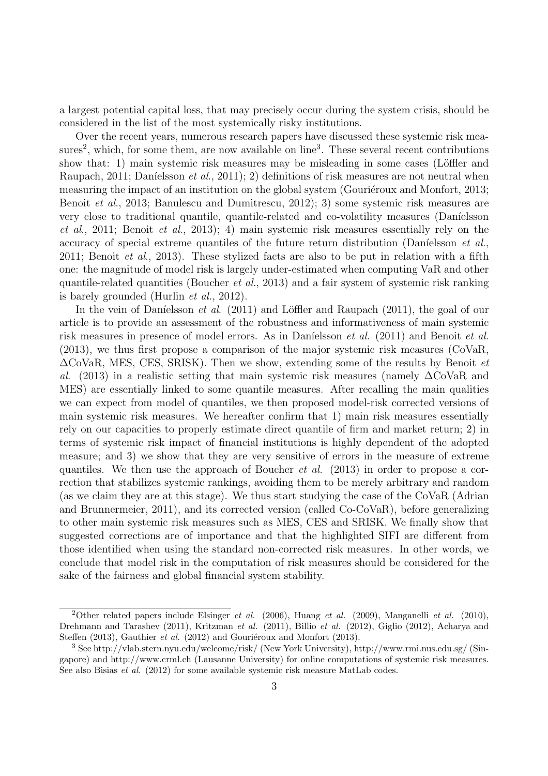a largest potential capital loss, that may precisely occur during the system crisis, should be considered in the list of the most systemically risky institutions.

Over the recent years, numerous research papers have discussed these systemic risk measures<sup>2</sup>, which, for some them, are now available on line<sup>3</sup>. These several recent contributions show that: 1) main systemic risk measures may be misleading in some cases (Löffler and Raupach, 2011; Daníelsson et al., 2011); 2) definitions of risk measures are not neutral when measuring the impact of an institution on the global system (Gouriéroux and Monfort, 2013; Benoit *et al.*, 2013; Banulescu and Dumitrescu, 2012); 3) some systemic risk measures are very close to traditional quantile, quantile-related and co-volatility measures (Daníelsson et al., 2011; Benoit et al., 2013); 4) main systemic risk measures essentially rely on the accuracy of special extreme quantiles of the future return distribution (Daníelsson et al., 2011; Benoit et al., 2013). These stylized facts are also to be put in relation with a fifth one: the magnitude of model risk is largely under-estimated when computing VaR and other quantile-related quantities (Boucher et al., 2013) and a fair system of systemic risk ranking is barely grounded (Hurlin et al., 2012).

In the vein of Daníelsson *et al.* (2011) and Löffler and Raupach (2011), the goal of our article is to provide an assessment of the robustness and informativeness of main systemic risk measures in presence of model errors. As in Daníelsson *et al.* (2011) and Benoit *et al.* (2013), we thus first propose a comparison of the major systemic risk measures (CoVaR,  $\Delta$ CoVaR, MES, CES, SRISK). Then we show, extending some of the results by Benoit *et* al. (2013) in a realistic setting that main systemic risk measures (namely ∆CoVaR and MES) are essentially linked to some quantile measures. After recalling the main qualities we can expect from model of quantiles, we then proposed model-risk corrected versions of main systemic risk measures. We hereafter confirm that 1) main risk measures essentially rely on our capacities to properly estimate direct quantile of firm and market return; 2) in terms of systemic risk impact of financial institutions is highly dependent of the adopted measure; and 3) we show that they are very sensitive of errors in the measure of extreme quantiles. We then use the approach of Boucher et al. (2013) in order to propose a correction that stabilizes systemic rankings, avoiding them to be merely arbitrary and random (as we claim they are at this stage). We thus start studying the case of the CoVaR (Adrian and Brunnermeier, 2011), and its corrected version (called Co-CoVaR), before generalizing to other main systemic risk measures such as MES, CES and SRISK. We finally show that suggested corrections are of importance and that the highlighted SIFI are different from those identified when using the standard non-corrected risk measures. In other words, we conclude that model risk in the computation of risk measures should be considered for the sake of the fairness and global financial system stability.

<sup>2</sup>Other related papers include Elsinger *et al.* (2006), Huang *et al.* (2009), Manganelli *et al.* (2010), Drehmann and Tarashev (2011), Kritzman *et al.* (2011), Billio *et al.* (2012), Giglio (2012), Acharya and Steffen (2013), Gauthier *et al.* (2012) and Gouriéroux and Monfort (2013).

<sup>3</sup> See http://vlab.stern.nyu.edu/welcome/risk/ (New York University), http://www.rmi.nus.edu.sg/ (Singapore) and http://www.crml.ch (Lausanne University) for online computations of systemic risk measures. See also Bisias *et al.* (2012) for some available systemic risk measure MatLab codes.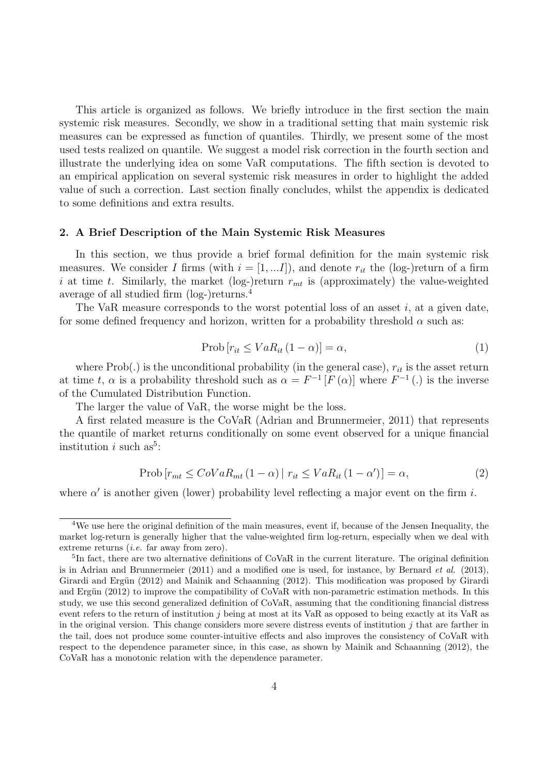This article is organized as follows. We briefly introduce in the first section the main systemic risk measures. Secondly, we show in a traditional setting that main systemic risk measures can be expressed as function of quantiles. Thirdly, we present some of the most used tests realized on quantile. We suggest a model risk correction in the fourth section and illustrate the underlying idea on some VaR computations. The fifth section is devoted to an empirical application on several systemic risk measures in order to highlight the added value of such a correction. Last section finally concludes, whilst the appendix is dedicated to some definitions and extra results.

## **2. A Brief Description of the Main Systemic Risk Measures**

In this section, we thus provide a brief formal definition for the main systemic risk measures. We consider I firms (with  $i = [1, ... I]$ ), and denote  $r_{it}$  the (log-)return of a firm i at time t. Similarly, the market (log-)return  $r_{mt}$  is (approximately) the value-weighted average of all studied firm (log-)returns.<sup>4</sup>

The VaR measure corresponds to the worst potential loss of an asset  $i$ , at a given date, for some defined frequency and horizon, written for a probability threshold  $\alpha$  such as:

$$
Prob[r_{it} \le VaR_{it} (1 - \alpha)] = \alpha,
$$
\n(1)

where  $Prob(.)$  is the unconditional probability (in the general case),  $r_{it}$  is the asset return at time t,  $\alpha$  is a probability threshold such as  $\alpha = F^{-1}[F(\alpha)]$  where  $F^{-1}(.)$  is the inverse of the Cumulated Distribution Function.

The larger the value of VaR, the worse might be the loss.

A first related measure is the CoVaR (Adrian and Brunnermeier, 2011) that represents the quantile of market returns conditionally on some event observed for a unique financial institution i such as<sup>5</sup>:

$$
Prob[r_{mt} \leq CoVaR_{mt}(1-\alpha) | r_{it} \leq VaR_{it}(1-\alpha')] = \alpha,
$$
\n(2)

where  $\alpha'$  is another given (lower) probability level reflecting a major event on the firm i.

<sup>&</sup>lt;sup>4</sup>We use here the original definition of the main measures, event if, because of the Jensen Inequality, the market log-return is generally higher that the value-weighted firm log-return, especially when we deal with extreme returns (*i.e.* far away from zero).

<sup>&</sup>lt;sup>5</sup>In fact, there are two alternative definitions of CoVaR in the current literature. The original definition is in Adrian and Brunnermeier (2011) and a modified one is used, for instance, by Bernard *et al*. (2013), Girardi and Ergün (2012) and Mainik and Schaanning (2012). This modification was proposed by Girardi and Ergün (2012) to improve the compatibility of CoVaR with non-parametric estimation methods. In this study, we use this second generalized definition of CoVaR, assuming that the conditioning financial distress event refers to the return of institution j being at most at its VaR as opposed to being exactly at its VaR as in the original version. This change considers more severe distress events of institution  $j$  that are farther in the tail, does not produce some counter-intuitive effects and also improves the consistency of CoVaR with respect to the dependence parameter since, in this case, as shown by Mainik and Schaanning (2012), the CoVaR has a monotonic relation with the dependence parameter.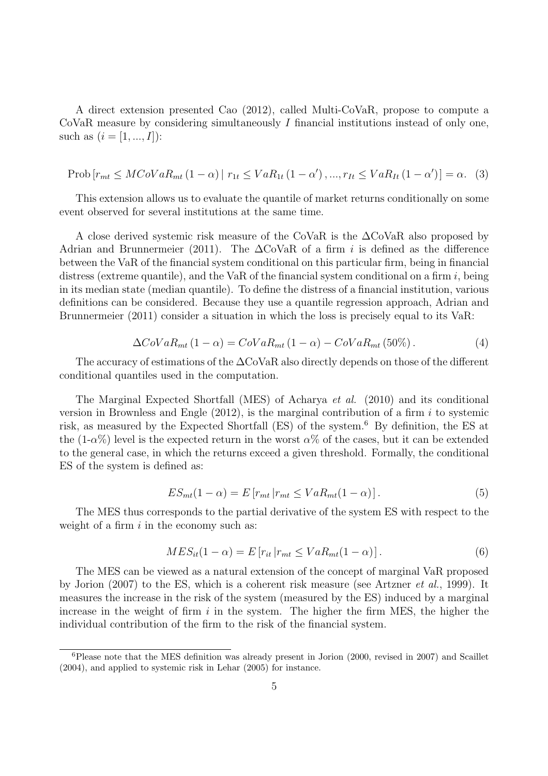A direct extension presented Cao (2012), called Multi-CoVaR, propose to compute a CoVaR measure by considering simultaneously  $I$  financial institutions instead of only one, such as  $(i = [1, ..., I])$ :

$$
Prob[r_{mt} \leq MCoVaR_{mt} (1 - \alpha) | r_{1t} \leq VaR_{1t} (1 - \alpha'), ..., r_{It} \leq VaR_{It} (1 - \alpha')] = \alpha.
$$
 (3)

This extension allows us to evaluate the quantile of market returns conditionally on some event observed for several institutions at the same time.

A close derived systemic risk measure of the CoVaR is the ∆CoVaR also proposed by Adrian and Brunnermeier (2011). The  $\Delta \text{CoVaR}$  of a firm i is defined as the difference between the VaR of the financial system conditional on this particular firm, being in financial distress (extreme quantile), and the VaR of the financial system conditional on a firm  $i$ , being in its median state (median quantile). To define the distress of a financial institution, various definitions can be considered. Because they use a quantile regression approach, Adrian and Brunnermeier (2011) consider a situation in which the loss is precisely equal to its VaR:

$$
\Delta CoVaR_{mt}(1-\alpha) = CoVaR_{mt}(1-\alpha) - CoVaR_{mt}(50\%). \tag{4}
$$

The accuracy of estimations of the ∆CoVaR also directly depends on those of the different conditional quantiles used in the computation.

The Marginal Expected Shortfall (MES) of Acharya et al. (2010) and its conditional version in Brownless and Engle  $(2012)$ , is the marginal contribution of a firm i to systemic risk, as measured by the Expected Shortfall (ES) of the system.<sup>6</sup> By definition, the ES at the  $(1-\alpha\%)$  level is the expected return in the worst  $\alpha\%$  of the cases, but it can be extended to the general case, in which the returns exceed a given threshold. Formally, the conditional ES of the system is defined as:

$$
ES_{mt}(1-\alpha) = E\left[r_{mt} | r_{mt} \le VaR_{mt}(1-\alpha)\right].\tag{5}
$$

The MES thus corresponds to the partial derivative of the system ES with respect to the weight of a firm  $i$  in the economy such as:

$$
MES_{it}(1-\alpha) = E[r_{it}|r_{mt} \le VaR_{mt}(1-\alpha)].
$$
\n(6)

The MES can be viewed as a natural extension of the concept of marginal VaR proposed by Jorion (2007) to the ES, which is a coherent risk measure (see Artzner et al., 1999). It measures the increase in the risk of the system (measured by the ES) induced by a marginal increase in the weight of firm  $i$  in the system. The higher the firm MES, the higher the individual contribution of the firm to the risk of the financial system.

 ${}^{6}$ Please note that the MES definition was already present in Jorion (2000, revised in 2007) and Scaillet (2004), and applied to systemic risk in Lehar (2005) for instance.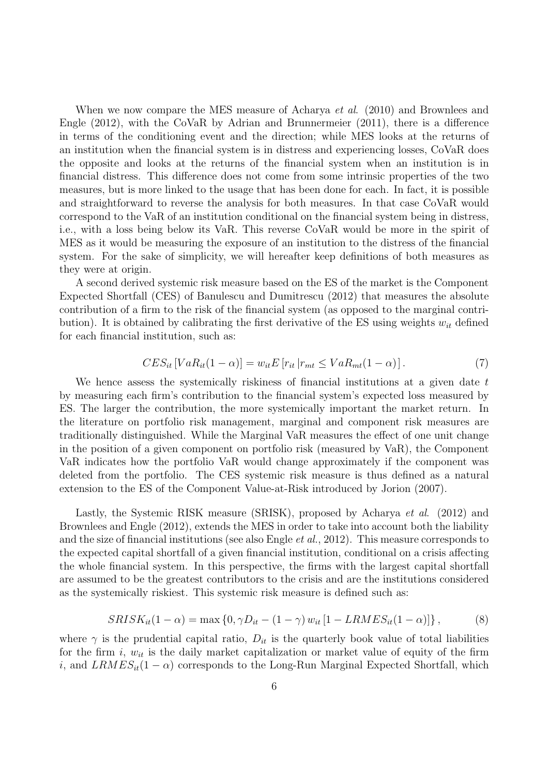When we now compare the MES measure of Acharya *et al.* (2010) and Brownlees and Engle (2012), with the CoVaR by Adrian and Brunnermeier (2011), there is a difference in terms of the conditioning event and the direction; while MES looks at the returns of an institution when the financial system is in distress and experiencing losses, CoVaR does the opposite and looks at the returns of the financial system when an institution is in financial distress. This difference does not come from some intrinsic properties of the two measures, but is more linked to the usage that has been done for each. In fact, it is possible and straightforward to reverse the analysis for both measures. In that case CoVaR would correspond to the VaR of an institution conditional on the financial system being in distress, i.e., with a loss being below its VaR. This reverse CoVaR would be more in the spirit of MES as it would be measuring the exposure of an institution to the distress of the financial system. For the sake of simplicity, we will hereafter keep definitions of both measures as they were at origin.

A second derived systemic risk measure based on the ES of the market is the Component Expected Shortfall (CES) of Banulescu and Dumitrescu (2012) that measures the absolute contribution of a firm to the risk of the financial system (as opposed to the marginal contribution). It is obtained by calibrating the first derivative of the ES using weights  $w_{it}$  defined for each financial institution, such as:

$$
CES_{it}[VaR_{it}(1-\alpha)] = w_{it}E[r_{it}|r_{mt} \le VaR_{mt}(1-\alpha)].
$$
\n(7)

We hence assess the systemically riskiness of financial institutions at a given date  $t$ by measuring each firm's contribution to the financial system's expected loss measured by ES. The larger the contribution, the more systemically important the market return. In the literature on portfolio risk management, marginal and component risk measures are traditionally distinguished. While the Marginal VaR measures the effect of one unit change in the position of a given component on portfolio risk (measured by VaR), the Component VaR indicates how the portfolio VaR would change approximately if the component was deleted from the portfolio. The CES systemic risk measure is thus defined as a natural extension to the ES of the Component Value-at-Risk introduced by Jorion (2007).

Lastly, the Systemic RISK measure (SRISK), proposed by Acharya *et al.* (2012) and Brownlees and Engle (2012), extends the MES in order to take into account both the liability and the size of financial institutions (see also Engle et al., 2012). This measure corresponds to the expected capital shortfall of a given financial institution, conditional on a crisis affecting the whole financial system. In this perspective, the firms with the largest capital shortfall are assumed to be the greatest contributors to the crisis and are the institutions considered as the systemically riskiest. This systemic risk measure is defined such as:

$$
SRISK_{it}(1-\alpha) = \max\left\{0, \gamma D_{it} - (1-\gamma) w_{it} [1 - LRMES_{it}(1-\alpha)]\right\},\tag{8}
$$

where  $\gamma$  is the prudential capital ratio,  $D_{it}$  is the quarterly book value of total liabilities for the firm i,  $w_{it}$  is the daily market capitalization or market value of equity of the firm i, and  $LRMES_{it}(1-\alpha)$  corresponds to the Long-Run Marginal Expected Shortfall, which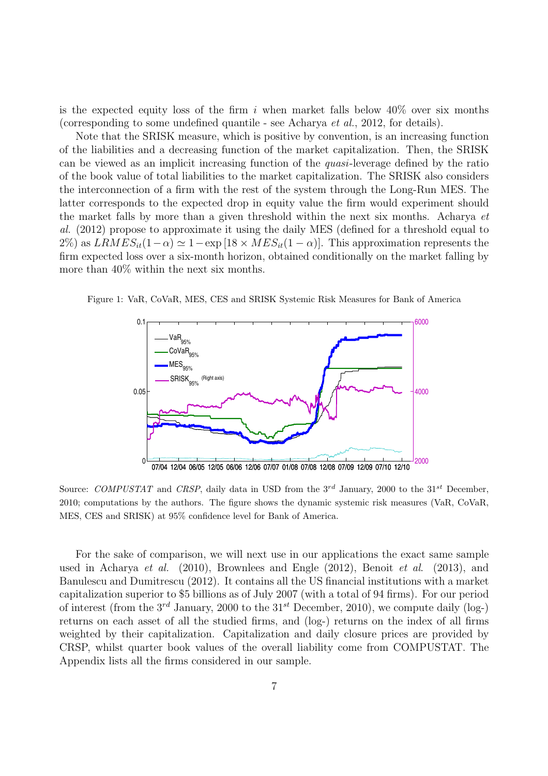is the expected equity loss of the firm i when market falls below  $40\%$  over six months (corresponding to some undefined quantile - see Acharya et al., 2012, for details).

Note that the SRISK measure, which is positive by convention, is an increasing function of the liabilities and a decreasing function of the market capitalization. Then, the SRISK can be viewed as an implicit increasing function of the quasi-leverage defined by the ratio of the book value of total liabilities to the market capitalization. The SRISK also considers the interconnection of a firm with the rest of the system through the Long-Run MES. The latter corresponds to the expected drop in equity value the firm would experiment should the market falls by more than a given threshold within the next six months. Acharya et al. (2012) propose to approximate it using the daily MES (defined for a threshold equal to 2%) as  $LRMES_{it}(1-\alpha) \simeq 1-\exp[18 \times MES_{it}(1-\alpha)]$ . This approximation represents the firm expected loss over a six-month horizon, obtained conditionally on the market falling by more than 40% within the next six months.

Figure 1: VaR, CoVaR, MES, CES and SRISK Systemic Risk Measures for Bank of America



Source: *COMPUSTAT* and *CRSP*, daily data in USD from the 3<sup>rd</sup> January, 2000 to the 31<sup>st</sup> December, 2010; computations by the authors. The figure shows the dynamic systemic risk measures (VaR, CoVaR, MES, CES and SRISK) at 95% confidence level for Bank of America.

For the sake of comparison, we will next use in our applications the exact same sample used in Acharya et al. (2010), Brownlees and Engle (2012), Benoit et al. (2013), and Banulescu and Dumitrescu (2012). It contains all the US financial institutions with a market capitalization superior to \$5 billions as of July 2007 (with a total of 94 firms). For our period of interest (from the  $3^{rd}$  January, 2000 to the  $31^{st}$  December, 2010), we compute daily (log-) returns on each asset of all the studied firms, and (log-) returns on the index of all firms weighted by their capitalization. Capitalization and daily closure prices are provided by CRSP, whilst quarter book values of the overall liability come from COMPUSTAT. The Appendix lists all the firms considered in our sample.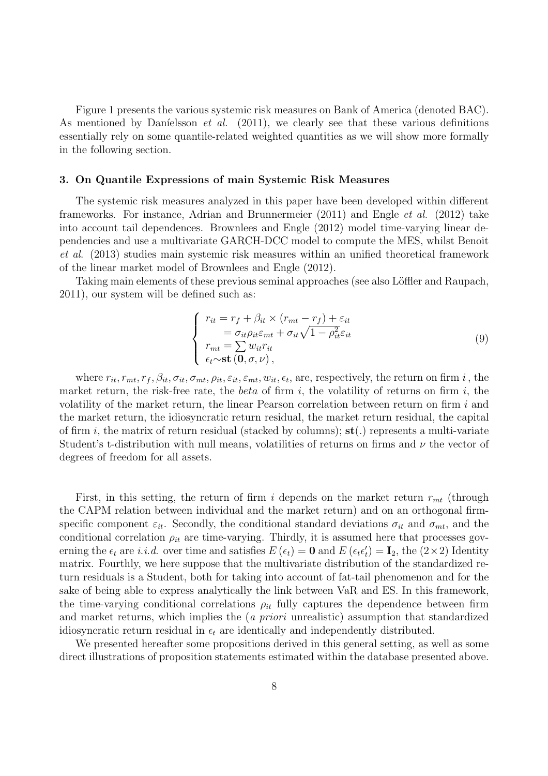Figure 1 presents the various systemic risk measures on Bank of America (denoted BAC). As mentioned by Daníelsson *et al.* (2011), we clearly see that these various definitions essentially rely on some quantile-related weighted quantities as we will show more formally in the following section.

#### **3. On Quantile Expressions of main Systemic Risk Measures**

The systemic risk measures analyzed in this paper have been developed within different frameworks. For instance, Adrian and Brunnermeier (2011) and Engle et al. (2012) take into account tail dependences. Brownlees and Engle (2012) model time-varying linear dependencies and use a multivariate GARCH-DCC model to compute the MES, whilst Benoit et al. (2013) studies main systemic risk measures within an unified theoretical framework of the linear market model of Brownlees and Engle (2012).

Taking main elements of these previous seminal approaches (see also Löffler and Raupach, 2011), our system will be defined such as:

$$
\begin{cases}\n r_{it} = r_f + \beta_{it} \times (r_{mt} - r_f) + \varepsilon_{it} \\
 \qquad = \sigma_{it} \rho_{it} \varepsilon_{mt} + \sigma_{it} \sqrt{1 - \rho_{it}^2} \varepsilon_{it} \\
 r_{mt} = \sum w_{it} r_{it} \\
 \epsilon_t \sim \text{st} (0, \sigma, \nu),\n\end{cases}
$$
\n(9)

where  $r_{it}, r_{mt}, r_f, \beta_{it}, \sigma_{it}, \sigma_{mt}, \rho_{it}, \varepsilon_{it}, \varepsilon_{mt}, w_{it}, \epsilon_t$ , are, respectively, the return on firm i, the market return, the risk-free rate, the *beta* of firm i, the volatility of returns on firm i, the volatility of the market return, the linear Pearson correlation between return on firm i and the market return, the idiosyncratic return residual, the market return residual, the capital of firm i, the matrix of return residual (stacked by columns); **st**(.) represents a multi-variate Student's t-distribution with null means, volatilities of returns on firms and  $\nu$  the vector of degrees of freedom for all assets.

First, in this setting, the return of firm i depends on the market return  $r_{mt}$  (through the CAPM relation between individual and the market return) and on an orthogonal firmspecific component  $\varepsilon_{it}$ . Secondly, the conditional standard deviations  $\sigma_{it}$  and  $\sigma_{mt}$ , and the conditional correlation  $\rho_{it}$  are time-varying. Thirdly, it is assumed here that processes governing the  $\epsilon_t$  are *i.i.d.* over time and satisfies  $E(\epsilon_t) = \mathbf{0}$  and  $E(\epsilon_t \epsilon_t') = \mathbf{I}_2$ , the  $(2 \times 2)$  Identity matrix. Fourthly, we here suppose that the multivariate distribution of the standardized return residuals is a Student, both for taking into account of fat-tail phenomenon and for the sake of being able to express analytically the link between VaR and ES. In this framework, the time-varying conditional correlations  $\rho_{it}$  fully captures the dependence between firm and market returns, which implies the (*a priori* unrealistic) assumption that standardized idiosyncratic return residual in  $\epsilon_t$  are identically and independently distributed.

We presented hereafter some propositions derived in this general setting, as well as some direct illustrations of proposition statements estimated within the database presented above.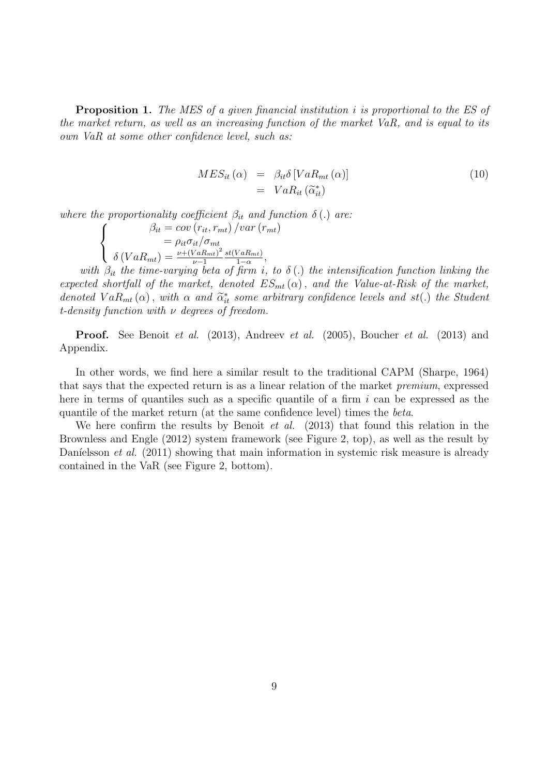**Proposition 1.** The MES of a given financial institution i is proportional to the ES of the market return, as well as an increasing function of the market VaR, and is equal to its own VaR at some other confidence level, such as:

$$
MES_{it} (\alpha) = \beta_{it} \delta \left[ VaR_{mt} (\alpha) \right]
$$
  
=  $VaR_{it} (\tilde{\alpha}_{it}^*)$  (10)

where the proportionality coefficient  $\beta_{it}$  and function  $\delta(.)$  are:  $\sqrt{ }$  $\frac{1}{2}$  $\mathcal{L}$  $\beta_{it} = cov(r_{it}, r_{mt})/var(r_{mt})$  $=\rho_{it}\sigma_{it}/\sigma_{mt}$  $\delta (VaR_{mt}) = \frac{\nu + (VaR_{mt})^2}{\nu - 1}$  $\nu-1$  $\frac{st(VaR_{mt})}{1-\alpha},$ 

with  $\beta_{it}$  the time-varying beta of firm i, to  $\delta(.)$  the intensification function linking the expected shortfall of the market, denoted  $ES_{mt}(\alpha)$ , and the Value-at-Risk of the market, denoted  $VaR_{mt}(\alpha)$ , with  $\alpha$  and  $\tilde{\alpha}_{it}^{*}$  some arbitrary confidence levels and st(.) the Student t-density function with  $\nu$  degrees of freedom.

**Proof.** See Benoit *et al.* (2013), Andreev *et al.* (2005), Boucher *et al.* (2013) and Appendix.

In other words, we find here a similar result to the traditional CAPM (Sharpe, 1964) that says that the expected return is as a linear relation of the market premium, expressed here in terms of quantiles such as a specific quantile of a firm  $i$  can be expressed as the quantile of the market return (at the same confidence level) times the beta.

We here confirm the results by Benoit *et al.*  $(2013)$  that found this relation in the Brownless and Engle (2012) system framework (see Figure 2, top), as well as the result by Daníelsson et al.  $(2011)$  showing that main information in systemic risk measure is already contained in the VaR (see Figure 2, bottom).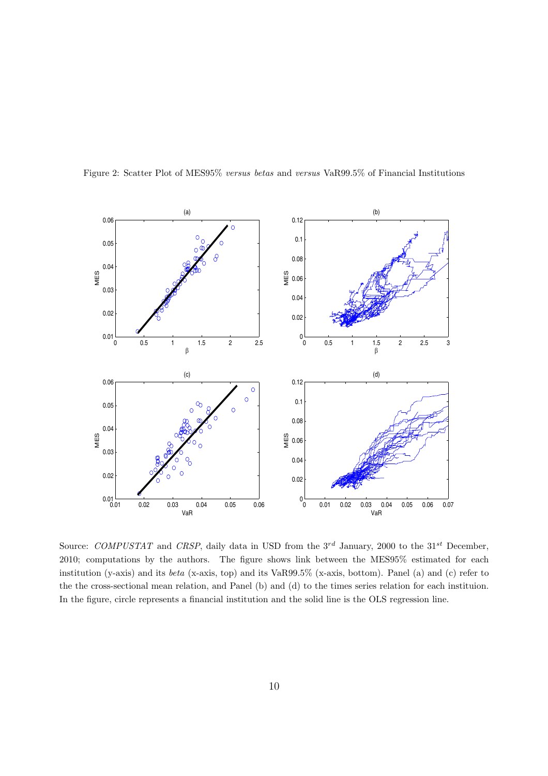

Figure 2: Scatter Plot of MES95% *versus betas* and *versus* VaR99.5% of Financial Institutions

Source: *COMPUSTAT* and *CRSP*, daily data in USD from the 3<sup>rd</sup> January, 2000 to the 31<sup>st</sup> December, 2010; computations by the authors. The figure shows link between the MES95% estimated for each institution (y-axis) and its *beta* (x-axis, top) and its VaR99.5% (x-axis, bottom). Panel (a) and (c) refer to the the cross-sectional mean relation, and Panel (b) and (d) to the times series relation for each instituion. In the figure, circle represents a financial institution and the solid line is the OLS regression line.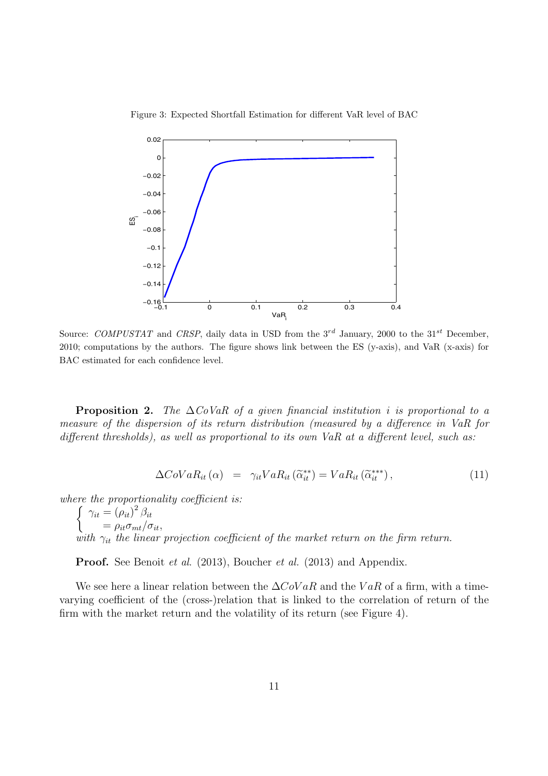



Source: *COMPUSTAT* and *CRSP*, daily data in USD from the 3*rd* January, 2000 to the 31*st* December, 2010; computations by the authors. The figure shows link between the ES (y-axis), and VaR (x-axis) for BAC estimated for each confidence level.

**Proposition 2.** The  $\Delta CoVaR$  of a given financial institution i is proportional to a measure of the dispersion of its return distribution (measured by a difference in VaR for different thresholds), as well as proportional to its own VaR at a different level, such as:

$$
\Delta CoVaR_{it}(\alpha) = \gamma_{it}VaR_{it}(\tilde{\alpha}_{it}^{**}) = VaR_{it}(\tilde{\alpha}_{it}^{***}), \qquad (11)
$$

where the proportionality coefficient is:

 $\int \gamma_{it} = (\rho_{it})^2 \beta_{it}$  $=\rho_{it}\sigma_{mt}/\sigma_{it},$ with  $\gamma_{it}$  the linear projection coefficient of the market return on the firm return.

**Proof.** See Benoit *et al.* (2013), Boucher *et al.* (2013) and Appendix.

We see here a linear relation between the  $\Delta CoVaR$  and the VaR of a firm, with a timevarying coefficient of the (cross-)relation that is linked to the correlation of return of the firm with the market return and the volatility of its return (see Figure 4).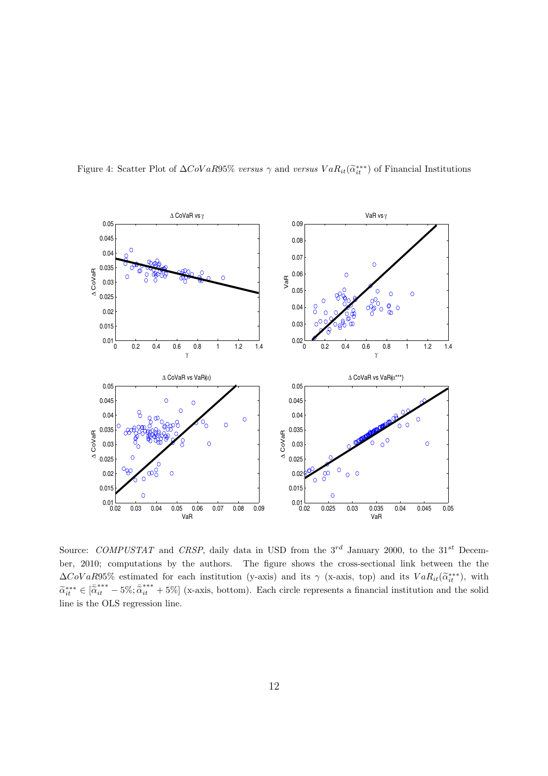

Figure 4: Scatter Plot of  $\Delta COVaR95\%$  *versus*  $\gamma$  and *versus*  $VaR_{it}(\widetilde{\alpha}_{it}^{***})$  of Financial Institutions

Source: *COMPUSTAT* and *CRSP*, daily data in USD from the 3<sup>rd</sup> January 2000, to the 31<sup>st</sup> December, 2010; computations by the authors. The figure shows the cross-sectional link between the the  $\Delta CoVaR95\%$  estimated for each institution (y-axis) and its  $\gamma$  (x-axis, top) and its  $VaR_{it}(\tilde{\alpha}_{it}^{***})$ , with  $\tilde{\alpha}_{it}^{***} \in [\tilde{\alpha}_{it}^{***} - 5\%; \tilde{\alpha}_{it}^{***} + 5\%]$  (x-axis, bottom). Each circle represents a financial institution and the solid line is the OLS regression line.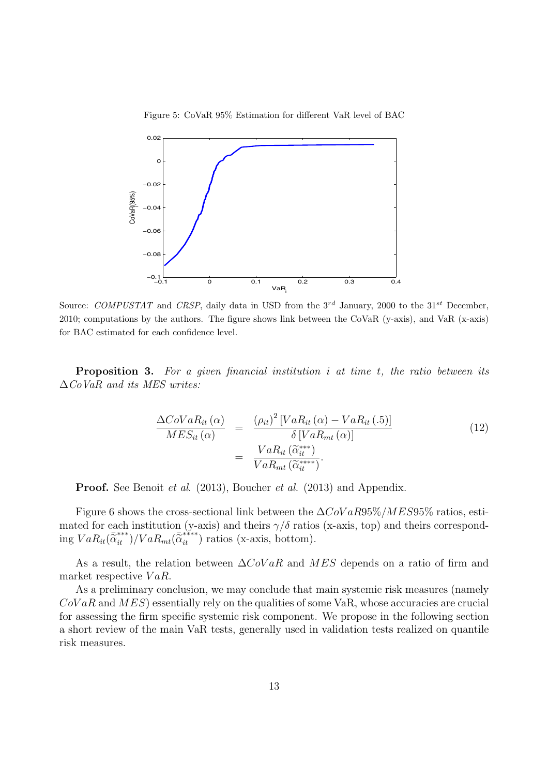Figure 5: CoVaR 95% Estimation for different VaR level of BAC



Source: *COMPUSTAT* and *CRSP*, daily data in USD from the 3*rd* January, 2000 to the 31*st* December, 2010; computations by the authors. The figure shows link between the CoVaR (y-axis), and VaR (x-axis) for BAC estimated for each confidence level.

**Proposition 3.** For a given financial institution i at time t, the ratio between its  $\Delta$ CoVaR and its MES writes:

$$
\frac{\Delta CoVaR_{it}(\alpha)}{MES_{it}(\alpha)} = \frac{(\rho_{it})^2 \left[ VaR_{it}(\alpha) - VaR_{it}(.5) \right]}{\delta \left[ VaR_{mt}(\alpha) \right]}
$$
\n
$$
= \frac{VaR_{it}(\widetilde{\alpha}_{it}^{***})}{VaR_{mt}(\widetilde{\alpha}_{it}^{***})}.
$$
\n(12)

**Proof.** See Benoit *et al.* (2013), Boucher *et al.* (2013) and Appendix.

Figure 6 shows the cross-sectional link between the  $\Delta CoVaR95\% / MES95\%$  ratios, estimated for each institution (y-axis) and theirs  $\gamma/\delta$  ratios (x-axis, top) and theirs corresponding  $VaR_{it}(\bar{\alpha}_{it}^{***})/VaR_{mt}(\bar{\alpha}_{it}^{***})$  ratios (x-axis, bottom).

As a result, the relation between  $\Delta C_0 VaR$  and  $MES$  depends on a ratio of firm and market respective  $VaR$ .

As a preliminary conclusion, we may conclude that main systemic risk measures (namely  $CoVaR$  and  $MES$ ) essentially rely on the qualities of some VaR, whose accuracies are crucial for assessing the firm specific systemic risk component. We propose in the following section a short review of the main VaR tests, generally used in validation tests realized on quantile risk measures.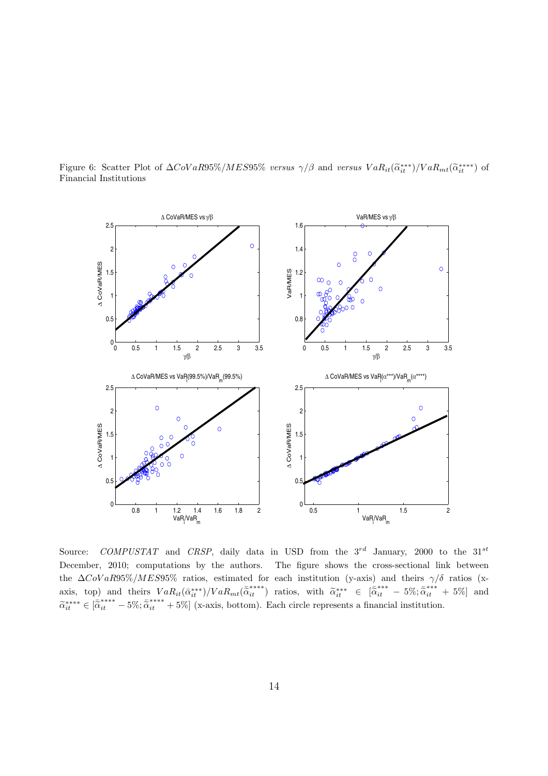Figure 6: Scatter Plot of  $\Delta CoVaR95\% / MES95\%$  *versus*  $\gamma/\beta$  and *versus*  $VaR_{it}(\widetilde{\alpha}_{it}^{***})/VaR_{mt}(\widetilde{\alpha}_{it}^{***})$  of Financial Institutions



Source: *COMPUSTAT* and *CRSP*, daily data in USD from the 3<sup>rd</sup> January, 2000 to the 31<sup>st</sup> December, 2010; computations by the authors. The figure shows the cross-sectional link between the  $\Delta$ CoVaR95%/MES95% ratios, estimated for each institution (y-axis) and theirs  $\gamma/\delta$  ratios (xaxis, top) and theirs  $VaR_{it}(\bar{\alpha}_{it}^{***})/VaR_{mt}(\bar{\alpha}_{it}^{***})$  ratios, with  $\tilde{\alpha}_{it}^{***} \in [\bar{\alpha}_{it}^{***} - 5\%; \bar{\alpha}_{it}^{***} + 5\%]$  and  $\tilde{\alpha}_{it}^{***} \in [\tilde{\alpha}_{it}^{***-} - 5\%, \tilde{\alpha}_{it}^{***+} + 5\%]$  (x-axis, bottom). Each circle represents a financial institution.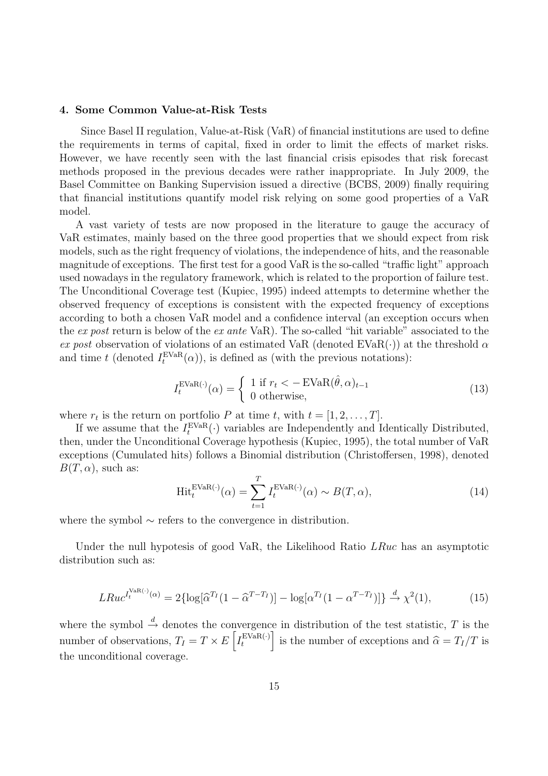## **4. Some Common Value-at-Risk Tests**

Since Basel II regulation, Value-at-Risk (VaR) of financial institutions are used to define the requirements in terms of capital, fixed in order to limit the effects of market risks. However, we have recently seen with the last financial crisis episodes that risk forecast methods proposed in the previous decades were rather inappropriate. In July 2009, the Basel Committee on Banking Supervision issued a directive (BCBS, 2009) finally requiring that financial institutions quantify model risk relying on some good properties of a VaR model.

A vast variety of tests are now proposed in the literature to gauge the accuracy of VaR estimates, mainly based on the three good properties that we should expect from risk models, such as the right frequency of violations, the independence of hits, and the reasonable magnitude of exceptions. The first test for a good VaR is the so-called "traffic light" approach used nowadays in the regulatory framework, which is related to the proportion of failure test. The Unconditional Coverage test (Kupiec, 1995) indeed attempts to determine whether the observed frequency of exceptions is consistent with the expected frequency of exceptions according to both a chosen VaR model and a confidence interval (an exception occurs when the ex post return is below of the ex ante VaR). The so-called "hit variable" associated to the ex post observation of violations of an estimated VaR (denoted EVaR(·)) at the threshold  $\alpha$ and time t (denoted  $I_t^{\text{EVaR}}(\alpha)$ ), is defined as (with the previous notations):

$$
I_t^{\text{EVaR}(\cdot)}(\alpha) = \begin{cases} 1 \text{ if } r_t < -\text{EVaR}(\hat{\theta}, \alpha)_{t-1} \\ 0 \text{ otherwise,} \end{cases}
$$
(13)

where  $r_t$  is the return on portfolio P at time t, with  $t = [1, 2, \ldots, T]$ .

If we assume that the  $I_t^{\text{EVaR}}(\cdot)$  variables are Independently and Identically Distributed, then, under the Unconditional Coverage hypothesis (Kupiec, 1995), the total number of VaR exceptions (Cumulated hits) follows a Binomial distribution (Christoffersen, 1998), denoted  $B(T, \alpha)$ , such as:

$$
\text{Hit}^{\text{EVaR}(\cdot)}_t(\alpha) = \sum_{t=1}^T I_t^{\text{EVaR}(\cdot)}(\alpha) \sim B(T, \alpha),\tag{14}
$$

where the symbol ∼ refers to the convergence in distribution.

Under the null hypotesis of good VaR, the Likelihood Ratio LRuc has an asymptotic distribution such as:

$$
LRuc^{I_t^{\text{VaR}(\cdot)}(\alpha)} = 2\{\log[\widehat{\alpha}^{T_I}(1-\widehat{\alpha}^{T-T_I})] - \log[\alpha^{T_I}(1-\alpha^{T-T_I})]\} \stackrel{d}{\rightarrow} \chi^2(1),\tag{15}
$$

where the symbol  $\stackrel{d}{\rightarrow}$  denotes the convergence in distribution of the test statistic, T is the number of observations,  $T_I = T \times E\left[I_t^{\text{EVaR}(\cdot)}\right]$  is the number of exceptions and  $\hat{\alpha} = T_I/T$  is the unconditional coverage.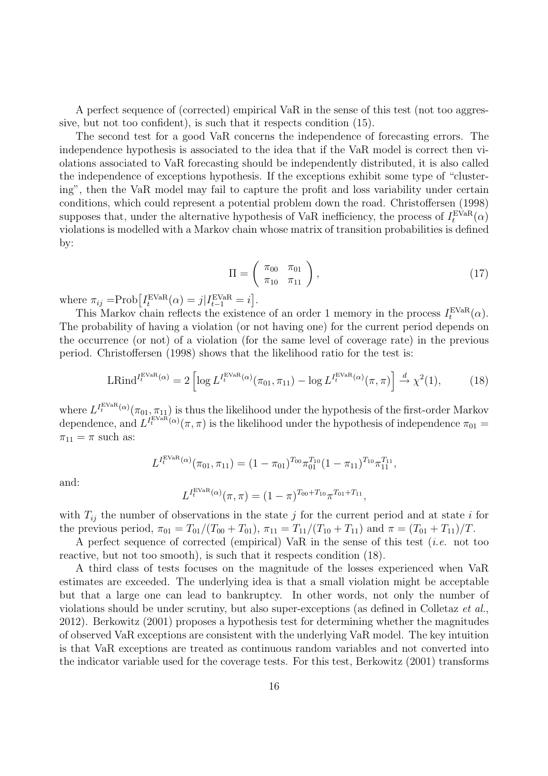A perfect sequence of (corrected) empirical VaR in the sense of this test (not too aggressive, but not too confident), is such that it respects condition (15).

The second test for a good VaR concerns the independence of forecasting errors. The independence hypothesis is associated to the idea that if the VaR model is correct then violations associated to VaR forecasting should be independently distributed, it is also called the independence of exceptions hypothesis. If the exceptions exhibit some type of "clustering", then the VaR model may fail to capture the profit and loss variability under certain conditions, which could represent a potential problem down the road. Christoffersen (1998) supposes that, under the alternative hypothesis of VaR inefficiency, the process of  $I_t^{\text{EVaR}}(\alpha)$ violations is modelled with a Markov chain whose matrix of transition probabilities is defined by:

$$
\Pi = \left(\begin{array}{cc} \pi_{00} & \pi_{01} \\ \pi_{10} & \pi_{11} \end{array}\right),\tag{17}
$$

where  $\pi_{ij} = \text{Prob}\left[I_t^{\text{EVaR}}(\alpha) = j | I_{t-1}^{\text{EVaR}} = i\right].$ 

This Markov chain reflects the existence of an order 1 memory in the process  $I_t^{\text{EVaR}}(\alpha)$ . The probability of having a violation (or not having one) for the current period depends on the occurrence (or not) of a violation (for the same level of coverage rate) in the previous period. Christoffersen (1998) shows that the likelihood ratio for the test is:

$$
\operatorname{LRind}^{I_t^{\operatorname{EVaR}}(\alpha)} = 2 \left[ \log L^{I_t^{\operatorname{EVaR}}(\alpha)}(\pi_{01}, \pi_{11}) - \log L^{I_t^{\operatorname{EVaR}}(\alpha)}(\pi, \pi) \right] \xrightarrow{d} \chi^2(1), \tag{18}
$$

where  $L^{I^{\text{EVaR}}_t(\alpha)}(\pi_{01}, \pi_{11})$  is thus the likelihood under the hypothesis of the first-order Markov dependence, and  $L^{I_{t}^{E}V\tilde{a}\tilde{R}'}(\alpha)(\pi,\pi)$  is the likelihood under the hypothesis of independence  $\pi_{01}$  $\pi_{11} = \pi$  such as:

$$
L^{I_t^{\text{EVaR}}(\alpha)}(\pi_{01}, \pi_{11}) = (1 - \pi_{01})^{T_{00}} \pi_{01}^{T_{10}} (1 - \pi_{11})^{T_{10}} \pi_{11}^{T_{11}},
$$

and:

$$
L^{I_t^{\text{EVaR}}(\alpha)}(\pi, \pi) = (1 - \pi)^{T_{00} + T_{10}} \pi^{T_{01} + T_{11}},
$$

with  $T_{ij}$  the number of observations in the state j for the current period and at state i for the previous period,  $\pi_{01} = T_{01}/(T_{00} + T_{01}), \pi_{11} = T_{11}/(T_{10} + T_{11})$  and  $\pi = (T_{01} + T_{11})/T$ .

A perfect sequence of corrected (empirical) VaR in the sense of this test (i.e. not too reactive, but not too smooth), is such that it respects condition (18).

A third class of tests focuses on the magnitude of the losses experienced when VaR estimates are exceeded. The underlying idea is that a small violation might be acceptable but that a large one can lead to bankruptcy. In other words, not only the number of violations should be under scrutiny, but also super-exceptions (as defined in Colletaz et al., 2012). Berkowitz (2001) proposes a hypothesis test for determining whether the magnitudes of observed VaR exceptions are consistent with the underlying VaR model. The key intuition is that VaR exceptions are treated as continuous random variables and not converted into the indicator variable used for the coverage tests. For this test, Berkowitz (2001) transforms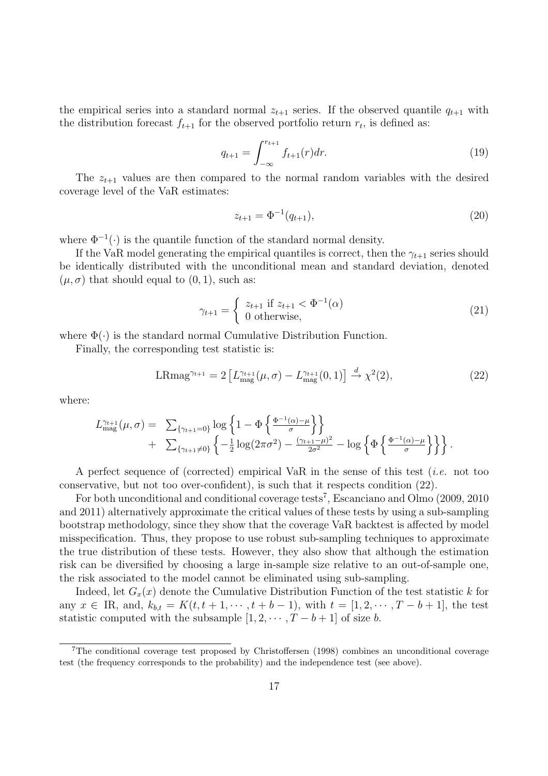the empirical series into a standard normal  $z_{t+1}$  series. If the observed quantile  $q_{t+1}$  with the distribution forecast  $f_{t+1}$  for the observed portfolio return  $r_t$ , is defined as:

$$
q_{t+1} = \int_{-\infty}^{r_{t+1}} f_{t+1}(r) dr.
$$
 (19)

The  $z_{t+1}$  values are then compared to the normal random variables with the desired coverage level of the VaR estimates:

$$
z_{t+1} = \Phi^{-1}(q_{t+1}),\tag{20}
$$

where  $\Phi^{-1}(\cdot)$  is the quantile function of the standard normal density.

If the VaR model generating the empirical quantiles is correct, then the  $\gamma_{t+1}$  series should be identically distributed with the unconditional mean and standard deviation, denoted  $(\mu, \sigma)$  that should equal to  $(0, 1)$ , such as:

$$
\gamma_{t+1} = \begin{cases} z_{t+1} & \text{if } z_{t+1} < \Phi^{-1}(\alpha) \\ 0 & \text{otherwise,} \end{cases} \tag{21}
$$

where  $\Phi(\cdot)$  is the standard normal Cumulative Distribution Function.

Finally, the corresponding test statistic is:

$$
LRmag^{\gamma_{t+1}} = 2 \left[ L_{\text{mag}}^{\gamma_{t+1}}(\mu, \sigma) - L_{\text{mag}}^{\gamma_{t+1}}(0, 1) \right] \stackrel{d}{\rightarrow} \chi^2(2), \tag{22}
$$

where:

$$
L_{\text{mag}}^{\gamma_{t+1}}(\mu,\sigma) = \sum_{\{\gamma_{t+1}=0\}} \log \left\{ 1 - \Phi \left\{ \frac{\Phi^{-1}(\alpha) - \mu}{\sigma} \right\} \right\} + \sum_{\{\gamma_{t+1}\neq 0\}} \left\{ -\frac{1}{2} \log(2\pi\sigma^2) - \frac{(\gamma_{t+1} - \mu)^2}{2\sigma^2} - \log \left\{ \Phi \left\{ \frac{\Phi^{-1}(\alpha) - \mu}{\sigma} \right\} \right\} \right\}.
$$

A perfect sequence of (corrected) empirical VaR in the sense of this test (*i.e.* not too conservative, but not too over-confident), is such that it respects condition (22).

For both unconditional and conditional coverage tests<sup>7</sup>, Escanciano and Olmo (2009, 2010) and 2011) alternatively approximate the critical values of these tests by using a sub-sampling bootstrap methodology, since they show that the coverage VaR backtest is affected by model misspecification. Thus, they propose to use robust sub-sampling techniques to approximate the true distribution of these tests. However, they also show that although the estimation risk can be diversified by choosing a large in-sample size relative to an out-of-sample one, the risk associated to the model cannot be eliminated using sub-sampling.

Indeed, let  $G_x(x)$  denote the Cumulative Distribution Function of the test statistic k for any  $x \in \mathbb{R}$ , and,  $k_{b,t} = K(t, t+1, \dots, t+b-1)$ , with  $t = [1, 2, \dots, T-b+1]$ , the test statistic computed with the subsample  $[1, 2, \cdots, T - b + 1]$  of size b.

<sup>7</sup>The conditional coverage test proposed by Christoffersen (1998) combines an unconditional coverage test (the frequency corresponds to the probability) and the independence test (see above).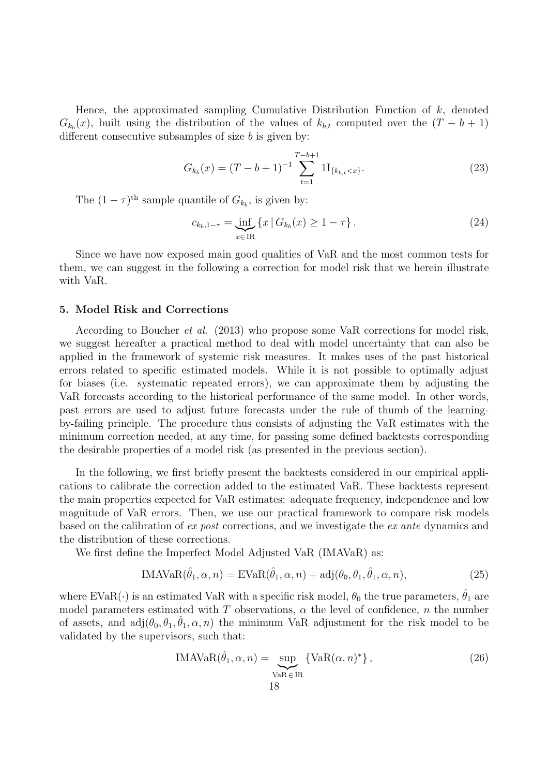Hence, the approximated sampling Cumulative Distribution Function of  $k$ , denoted  $G_{k_b}(x)$ , built using the distribution of the values of  $k_{b,t}$  computed over the  $(T - b + 1)$ different consecutive subsamples of size  $b$  is given by:

$$
G_{k_b}(x) = (T - b + 1)^{-1} \sum_{t=1}^{T-b+1} 1 I_{\{k_{b,t} < x\}}.\tag{23}
$$

The  $(1 - \tau)^{\text{th}}$  sample quantile of  $G_{k_b}$ , is given by:

$$
c_{k_b,1-\tau} = \inf_{x \in \text{IR}} \{ x \mid G_{k_b}(x) \ge 1 - \tau \}.
$$
 (24)

Since we have now exposed main good qualities of VaR and the most common tests for them, we can suggest in the following a correction for model risk that we herein illustrate with VaR.

# **5. Model Risk and Corrections**

According to Boucher et al. (2013) who propose some VaR corrections for model risk, we suggest hereafter a practical method to deal with model uncertainty that can also be applied in the framework of systemic risk measures. It makes uses of the past historical errors related to specific estimated models. While it is not possible to optimally adjust for biases (i.e. systematic repeated errors), we can approximate them by adjusting the VaR forecasts according to the historical performance of the same model. In other words, past errors are used to adjust future forecasts under the rule of thumb of the learningby-failing principle. The procedure thus consists of adjusting the VaR estimates with the minimum correction needed, at any time, for passing some defined backtests corresponding the desirable properties of a model risk (as presented in the previous section).

In the following, we first briefly present the backtests considered in our empirical applications to calibrate the correction added to the estimated VaR. These backtests represent the main properties expected for VaR estimates: adequate frequency, independence and low magnitude of VaR errors. Then, we use our practical framework to compare risk models based on the calibration of ex post corrections, and we investigate the ex ante dynamics and the distribution of these corrections.

We first define the Imperfect Model Adjusted VaR (IMAVaR) as:

$$
IMAVAR(\hat{\theta}_1, \alpha, n) = EVaR(\hat{\theta}_1, \alpha, n) + adj(\theta_0, \theta_1, \hat{\theta}_1, \alpha, n),
$$
\n(25)

where EVaR( $\cdot$ ) is an estimated VaR with a specific risk model,  $\theta_0$  the true parameters,  $\hat{\theta}_1$  are model parameters estimated with T observations,  $\alpha$  the level of confidence, n the number of assets, and  $adj(\theta_0, \theta_1, \theta_1, \alpha, n)$  the minimum VaR adjustment for the risk model to be validated by the supervisors, such that:

$$
IMAVAR(\hat{\theta}_1, \alpha, n) = \sup_{\text{VaR} \in \text{IR}} \{ \text{VaR}(\alpha, n)^* \},
$$
\n(26)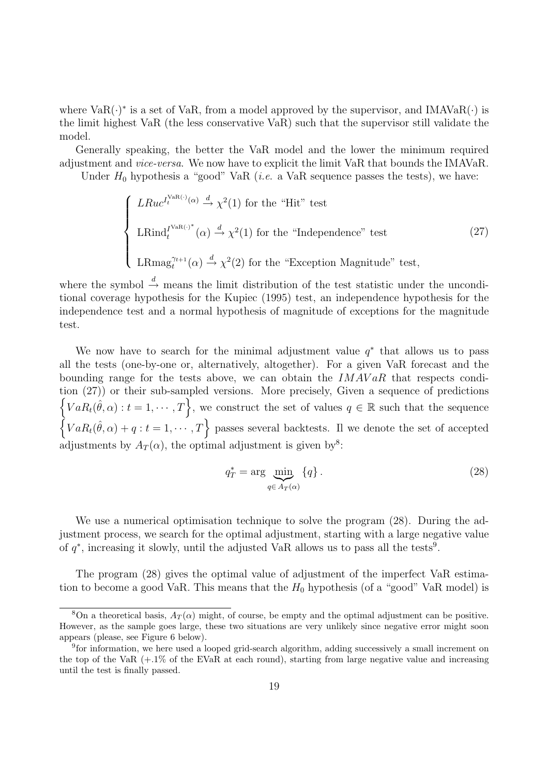where  $VaR(\cdot)$ <sup>\*</sup> is a set of VaR, from a model approved by the supervisor, and IMAVaR $(\cdot)$  is the limit highest VaR (the less conservative VaR) such that the supervisor still validate the model.

Generally speaking, the better the VaR model and the lower the minimum required adjustment and vice-versa. We now have to explicit the limit VaR that bounds the IMAVaR.

Under  $H_0$  hypothesis a "good" VaR (*i.e.* a VaR sequence passes the tests), we have:

$$
\begin{cases}\nLRuc^{I_t^{\text{VaR}(\cdot)}(\alpha)} \stackrel{d}{\rightarrow} \chi^2(1) \text{ for the "Hit" test} \\
LRind_t^{I^{\text{VaR}(\cdot)^*}}(\alpha) \stackrel{d}{\rightarrow} \chi^2(1) \text{ for the "Independence" test} \\
LRmag_t^{\gamma_{t+1}}(\alpha) \stackrel{d}{\rightarrow} \chi^2(2) \text{ for the "Exception Magnitude" test,}\n\end{cases} \tag{27}
$$

where the symbol  $\stackrel{d}{\rightarrow}$  means the limit distribution of the test statistic under the unconditional coverage hypothesis for the Kupiec (1995) test, an independence hypothesis for the independence test and a normal hypothesis of magnitude of exceptions for the magnitude test.

We now have to search for the minimal adjustment value  $q^*$  that allows us to pass all the tests (one-by-one or, alternatively, altogether). For a given VaR forecast and the bounding range for the tests above, we can obtain the  $IMAVaR$  that respects condition (27)) or their sub-sampled versions. More precisely, Given a sequence of predictions  $\{VaR_t(\hat{\theta}, \alpha): t=1,\cdots,T\}$ , we construct the set of values  $q \in \mathbb{R}$  such that the sequence  $\{VaR_t(\hat{\theta}, \alpha)+q:t=1,\cdots,T\}$  passes several backtests. If we denote the set of accepted adjustments by  $A_T(\alpha)$ , the optimal adjustment is given by<sup>8</sup>:

$$
q_T^* = \arg\min_{q \in A_T(\alpha)} \{q\}.
$$
\n(28)

We use a numerical optimisation technique to solve the program (28). During the adjustment process, we search for the optimal adjustment, starting with a large negative value of  $q^*$ , increasing it slowly, until the adjusted VaR allows us to pass all the tests<sup>9</sup>.

The program (28) gives the optimal value of adjustment of the imperfect VaR estimation to become a good VaR. This means that the  $H_0$  hypothesis (of a "good" VaR model) is

<sup>&</sup>lt;sup>8</sup>On a theoretical basis,  $A_T(\alpha)$  might, of course, be empty and the optimal adjustment can be positive. However, as the sample goes large, these two situations are very unlikely since negative error might soon appears (please, see Figure 6 below).

<sup>&</sup>lt;sup>9</sup>for information, we here used a looped grid-search algorithm, adding successively a small increment on the top of the VaR  $(+.1\%$  of the EVaR at each round), starting from large negative value and increasing until the test is finally passed.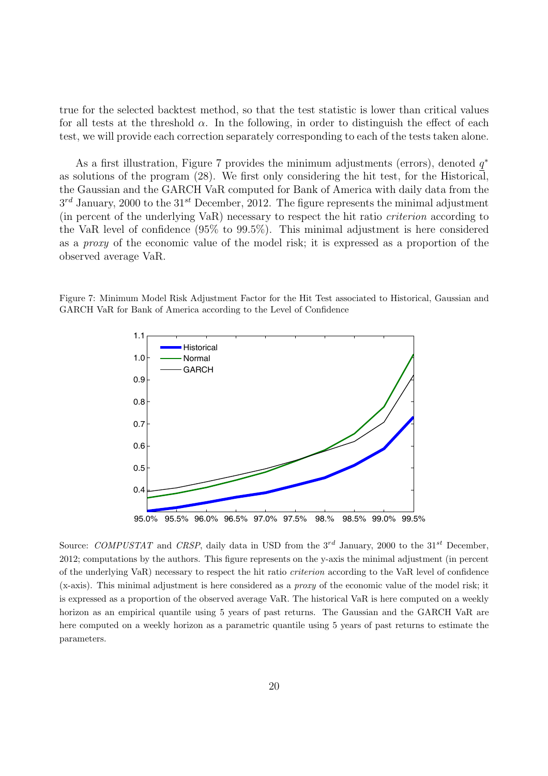true for the selected backtest method, so that the test statistic is lower than critical values for all tests at the threshold  $\alpha$ . In the following, in order to distinguish the effect of each test, we will provide each correction separately corresponding to each of the tests taken alone.

As a first illustration, Figure 7 provides the minimum adjustments (errors), denoted  $q^*$ as solutions of the program (28). We first only considering the hit test, for the Historical, the Gaussian and the GARCH VaR computed for Bank of America with daily data from the  $3^{rd}$  January, 2000 to the  $31^{st}$  December, 2012. The figure represents the minimal adjustment (in percent of the underlying VaR) necessary to respect the hit ratio criterion according to the VaR level of confidence (95% to 99.5%). This minimal adjustment is here considered as a proxy of the economic value of the model risk; it is expressed as a proportion of the observed average VaR.

Figure 7: Minimum Model Risk Adjustment Factor for the Hit Test associated to Historical, Gaussian and GARCH VaR for Bank of America according to the Level of Confidence



Source: *COMPUSTAT* and *CRSP*, daily data in USD from the 3<sup>rd</sup> January, 2000 to the 31<sup>st</sup> December, 2012; computations by the authors. This figure represents on the y-axis the minimal adjustment (in percent of the underlying VaR) necessary to respect the hit ratio *criterion* according to the VaR level of confidence (x-axis). This minimal adjustment is here considered as a *proxy* of the economic value of the model risk; it is expressed as a proportion of the observed average VaR. The historical VaR is here computed on a weekly horizon as an empirical quantile using 5 years of past returns. The Gaussian and the GARCH VaR are here computed on a weekly horizon as a parametric quantile using 5 years of past returns to estimate the parameters.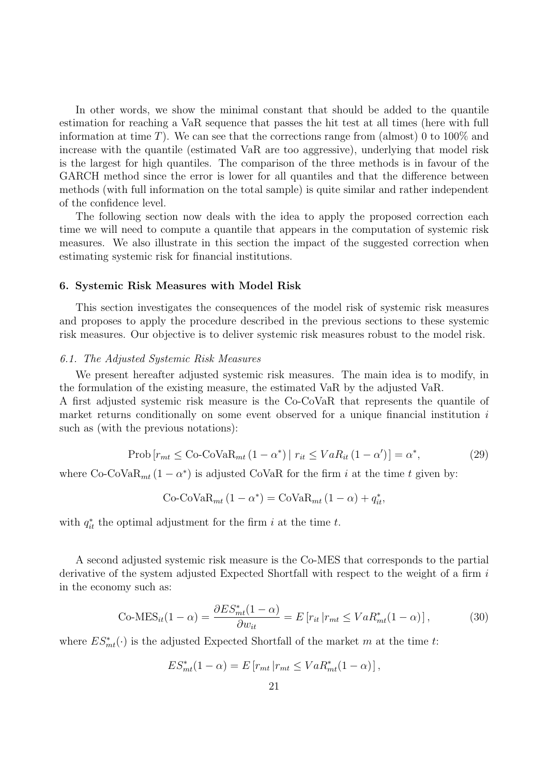In other words, we show the minimal constant that should be added to the quantile estimation for reaching a VaR sequence that passes the hit test at all times (here with full information at time T). We can see that the corrections range from (almost) 0 to 100% and increase with the quantile (estimated VaR are too aggressive), underlying that model risk is the largest for high quantiles. The comparison of the three methods is in favour of the GARCH method since the error is lower for all quantiles and that the difference between methods (with full information on the total sample) is quite similar and rather independent of the confidence level.

The following section now deals with the idea to apply the proposed correction each time we will need to compute a quantile that appears in the computation of systemic risk measures. We also illustrate in this section the impact of the suggested correction when estimating systemic risk for financial institutions.

### **6. Systemic Risk Measures with Model Risk**

This section investigates the consequences of the model risk of systemic risk measures and proposes to apply the procedure described in the previous sections to these systemic risk measures. Our objective is to deliver systemic risk measures robust to the model risk.

## 6.1. The Adjusted Systemic Risk Measures

We present hereafter adjusted systemic risk measures. The main idea is to modify, in the formulation of the existing measure, the estimated VaR by the adjusted VaR.

A first adjusted systemic risk measure is the Co-CoVaR that represents the quantile of market returns conditionally on some event observed for a unique financial institution  $i$ such as (with the previous notations):

$$
\text{Prob}\left[r_{mt} \leq \text{Co-CoVaR}_{mt}\left(1-\alpha^*\right) \mid r_{it} \leq VaR_{it}\left(1-\alpha'\right)\right] = \alpha^*,\tag{29}
$$

where Co-CoVa $R_{mt} (1 - \alpha^*)$  is adjusted CoVaR for the firm i at the time t given by:

$$
Co\text{-}CoVaR_{mt}(1-\alpha^*) = CoVaR_{mt}(1-\alpha) + q_{it}^*,
$$

with  $q_{it}^*$  the optimal adjustment for the firm i at the time t.

A second adjusted systemic risk measure is the Co-MES that corresponds to the partial derivative of the system adjusted Expected Shortfall with respect to the weight of a firm i in the economy such as:

$$
\text{Co-MES}_{it}(1-\alpha) = \frac{\partial ES_{mt}^*(1-\alpha)}{\partial w_{it}} = E\left[r_{it} | r_{mt} \le VaR_{mt}^*(1-\alpha)\right],\tag{30}
$$

where  $ES_{mt}^*(\cdot)$  is the adjusted Expected Shortfall of the market m at the time t:

$$
ES_{mt}^*(1-\alpha) = E\left[r_{mt} | r_{mt} \le VaR_{mt}^*(1-\alpha)\right],
$$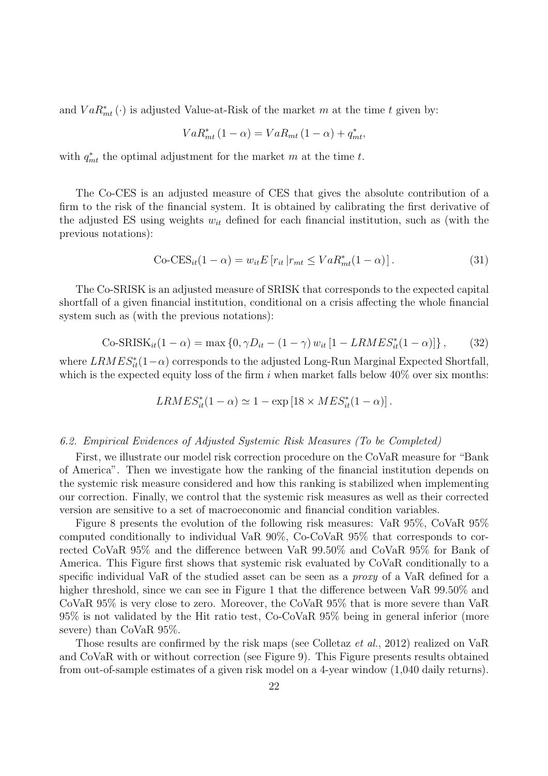and  $VaR_{mt}^*(\cdot)$  is adjusted Value-at-Risk of the market m at the time t given by:

$$
VaR_{mt}^*(1-\alpha) = VaR_{mt}(1-\alpha) + q_{mt}^*,
$$

with  $q_{mt}^*$  the optimal adjustment for the market m at the time t.

The Co-CES is an adjusted measure of CES that gives the absolute contribution of a firm to the risk of the financial system. It is obtained by calibrating the first derivative of the adjusted ES using weights  $w_{it}$  defined for each financial institution, such as (with the previous notations):

$$
\text{Co-CES}_{it}(1-\alpha) = w_{it}E\left[r_{it} | r_{mt} \le VaR_{mt}^*(1-\alpha)\right].\tag{31}
$$

The Co-SRISK is an adjusted measure of SRISK that corresponds to the expected capital shortfall of a given financial institution, conditional on a crisis affecting the whole financial system such as (with the previous notations):

$$
\text{Co-SRISK}_{it}(1-\alpha) = \max\left\{0, \gamma D_{it} - (1-\gamma) w_{it} [1 - LRMES_{it}^{*}(1-\alpha)]\right\},\tag{32}
$$

where  $LRMES_{it}^*(1-\alpha)$  corresponds to the adjusted Long-Run Marginal Expected Shortfall, which is the expected equity loss of the firm i when market falls below  $40\%$  over six months:

$$
LRMES_{it}^*(1-\alpha) \simeq 1 - \exp [18 \times MES_{it}^*(1-\alpha)].
$$

#### 6.2. Empirical Evidences of Adjusted Systemic Risk Measures (To be Completed)

First, we illustrate our model risk correction procedure on the CoVaR measure for "Bank of America". Then we investigate how the ranking of the financial institution depends on the systemic risk measure considered and how this ranking is stabilized when implementing our correction. Finally, we control that the systemic risk measures as well as their corrected version are sensitive to a set of macroeconomic and financial condition variables.

Figure 8 presents the evolution of the following risk measures: VaR 95%, CoVaR 95% computed conditionally to individual VaR 90%, Co-CoVaR 95% that corresponds to corrected CoVaR 95% and the difference between VaR 99.50% and CoVaR 95% for Bank of America. This Figure first shows that systemic risk evaluated by CoVaR conditionally to a specific individual VaR of the studied asset can be seen as a proxy of a VaR defined for a higher threshold, since we can see in Figure 1 that the difference between VaR 99.50% and CoVaR 95% is very close to zero. Moreover, the CoVaR 95% that is more severe than VaR 95% is not validated by the Hit ratio test, Co-CoVaR 95% being in general inferior (more severe) than CoVaR 95%.

Those results are confirmed by the risk maps (see Colletaz et al., 2012) realized on VaR and CoVaR with or without correction (see Figure 9). This Figure presents results obtained from out-of-sample estimates of a given risk model on a 4-year window (1,040 daily returns).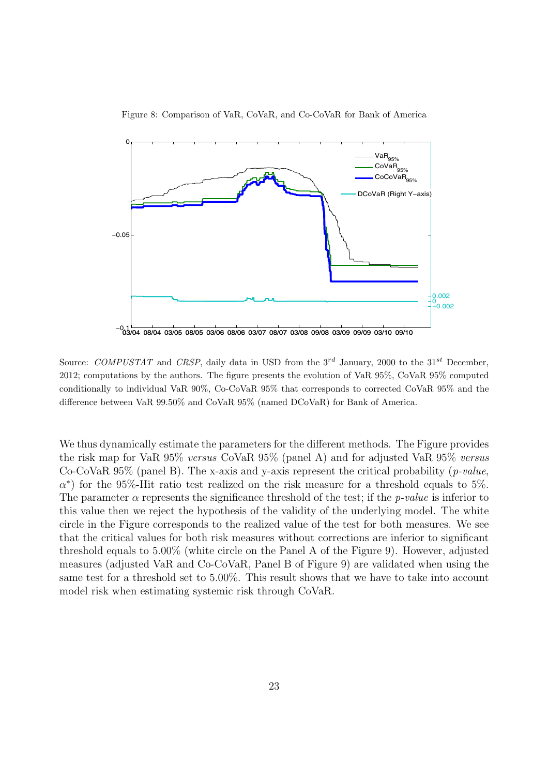

Figure 8: Comparison of VaR, CoVaR, and Co-CoVaR for Bank of America

Source: *COMPUSTAT* and *CRSP*, daily data in USD from the 3<sup>rd</sup> January, 2000 to the 31<sup>st</sup> December, 2012; computations by the authors. The figure presents the evolution of VaR 95%, CoVaR 95% computed conditionally to individual VaR 90%, Co-CoVaR 95% that corresponds to corrected CoVaR 95% and the difference between VaR 99.50% and CoVaR 95% (named DCoVaR) for Bank of America.

We thus dynamically estimate the parameters for the different methods. The Figure provides the risk map for VaR 95% versus CoVaR 95% (panel A) and for adjusted VaR 95% versus Co-CoVaR  $95\%$  (panel B). The x-axis and y-axis represent the critical probability (*p-value*,  $\alpha^*$ ) for the 95%-Hit ratio test realized on the risk measure for a threshold equals to 5%. The parameter  $\alpha$  represents the significance threshold of the test; if the *p-value* is inferior to this value then we reject the hypothesis of the validity of the underlying model. The white circle in the Figure corresponds to the realized value of the test for both measures. We see that the critical values for both risk measures without corrections are inferior to significant threshold equals to 5.00% (white circle on the Panel A of the Figure 9). However, adjusted measures (adjusted VaR and Co-CoVaR, Panel B of Figure 9) are validated when using the same test for a threshold set to 5.00%. This result shows that we have to take into account model risk when estimating systemic risk through CoVaR.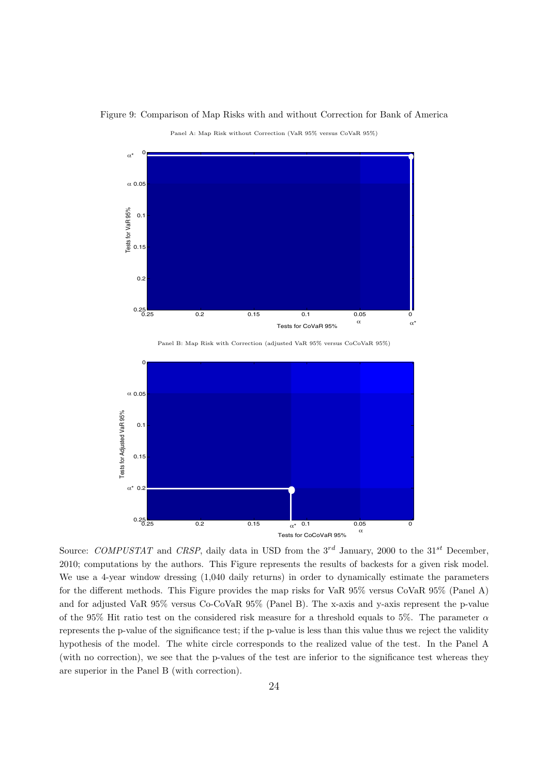

Figure 9: Comparison of Map Risks with and without Correction for Bank of America

Panel A: Map Risk without Correction (VaR 95% versus CoVaR 95%)

Panel B: Map Risk with Correction (adjusted VaR 95% versus CoCoVaR 95%)



Source: *COMPUSTAT* and *CRSP*, daily data in USD from the 3*rd* January, 2000 to the 31*st* December, 2010; computations by the authors. This Figure represents the results of backests for a given risk model. We use a 4-year window dressing (1,040 daily returns) in order to dynamically estimate the parameters for the different methods. This Figure provides the map risks for VaR 95% versus CoVaR 95% (Panel A) and for adjusted VaR 95% versus Co-CoVaR 95% (Panel B). The x-axis and y-axis represent the p-value of the 95% Hit ratio test on the considered risk measure for a threshold equals to 5%. The parameter  $\alpha$ represents the p-value of the significance test; if the p-value is less than this value thus we reject the validity hypothesis of the model. The white circle corresponds to the realized value of the test. In the Panel A (with no correction), we see that the p-values of the test are inferior to the significance test whereas they are superior in the Panel B (with correction).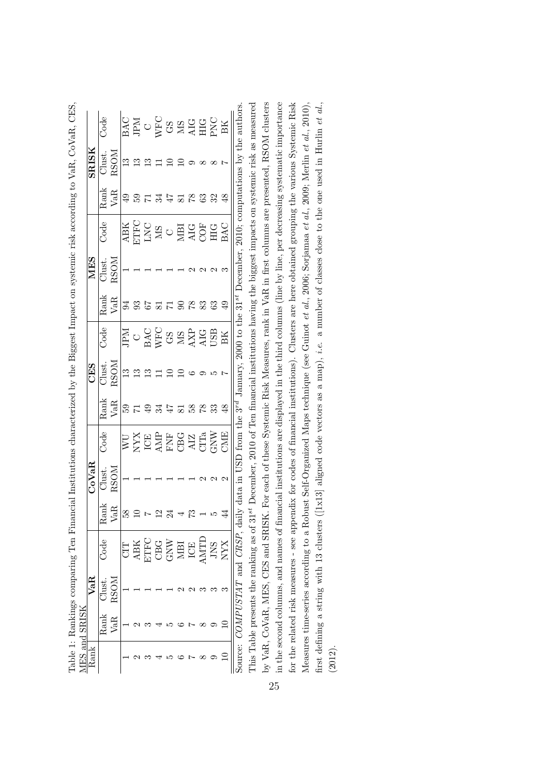| ES and |       |               |                                                   |                                                                                                                                      |                  |                                                                 |             |                                                              |                                                   |               |                                             |               |                                                                  |                                                                                                                                                                                                                                                                                                                                                                                                                                                                                                                                                                                                                                       |
|--------|-------|---------------|---------------------------------------------------|--------------------------------------------------------------------------------------------------------------------------------------|------------------|-----------------------------------------------------------------|-------------|--------------------------------------------------------------|---------------------------------------------------|---------------|---------------------------------------------|---------------|------------------------------------------------------------------|---------------------------------------------------------------------------------------------------------------------------------------------------------------------------------------------------------------------------------------------------------------------------------------------------------------------------------------------------------------------------------------------------------------------------------------------------------------------------------------------------------------------------------------------------------------------------------------------------------------------------------------|
| kank)  |       | $\frac{1}{3}$ |                                                   |                                                                                                                                      | JoVaR            |                                                                 |             | <b>CES</b><br>Just                                           |                                                   | <b>NIES</b>   |                                             |               |                                                                  |                                                                                                                                                                                                                                                                                                                                                                                                                                                                                                                                                                                                                                       |
|        | iank≻ | Jlust.        | Bog                                               |                                                                                                                                      | $_{\text{Just}}$ | Code                                                            |             |                                                              | Code                                              |               | Code                                        |               |                                                                  | $3$ ode                                                                                                                                                                                                                                                                                                                                                                                                                                                                                                                                                                                                                               |
|        | Æ     |               |                                                   | ank<br>/aR                                                                                                                           | XOSS             |                                                                 | Rank<br>VaR | $\frac{\text{SOM}}{\text{13}}$                               |                                                   | $\frac{3}{2}$ |                                             | Rank<br>VaR   | $\frac{\rm SRESK}{\rm Clust.} \ \frac{\rm SOM}{\rm 13} \ \rm 13$ |                                                                                                                                                                                                                                                                                                                                                                                                                                                                                                                                                                                                                                       |
|        |       |               |                                                   | $  \overset{\infty}{\mathfrak{L}} \overset{\infty}{\mathfrak{L}}$                                                                    |                  |                                                                 |             |                                                              |                                                   |               |                                             |               |                                                                  |                                                                                                                                                                                                                                                                                                                                                                                                                                                                                                                                                                                                                                       |
|        |       |               |                                                   |                                                                                                                                      |                  |                                                                 |             |                                                              |                                                   |               |                                             |               |                                                                  |                                                                                                                                                                                                                                                                                                                                                                                                                                                                                                                                                                                                                                       |
|        |       |               |                                                   |                                                                                                                                      |                  |                                                                 |             |                                                              |                                                   |               |                                             |               |                                                                  |                                                                                                                                                                                                                                                                                                                                                                                                                                                                                                                                                                                                                                       |
|        |       |               | <b>CIT</b><br>ABK<br>CBC<br>CONTELLER<br>MERICIAL | $\begin{array}{c} \mathbf{r} \ \mathbf{r} \ \mathbf{r} \ \mathbf{r} \ \mathbf{r} \ \mathbf{r} \ \mathbf{r} \ \mathbf{r} \end{array}$ |                  | <b>NATHREAD</b><br>NATHREAD<br>NATHREAD<br>NATHREAD<br>NATHREAD |             |                                                              | <b>ENGER SERVES</b><br>CARC SERVES<br>MARC SERVES |               |                                             | 9.25777788398 |                                                                  |                                                                                                                                                                                                                                                                                                                                                                                                                                                                                                                                                                                                                                       |
|        |       |               |                                                   |                                                                                                                                      |                  |                                                                 |             |                                                              |                                                   |               |                                             |               |                                                                  |                                                                                                                                                                                                                                                                                                                                                                                                                                                                                                                                                                                                                                       |
|        |       |               |                                                   |                                                                                                                                      |                  |                                                                 |             | $\overline{1}$ $\overline{2}$ $\overline{2}$ $\circ$ $\circ$ |                                                   |               |                                             |               | $\Xi \Omega \Omega$ o $\infty$                                   |                                                                                                                                                                                                                                                                                                                                                                                                                                                                                                                                                                                                                                       |
|        |       |               |                                                   |                                                                                                                                      |                  |                                                                 |             |                                                              |                                                   |               |                                             |               |                                                                  |                                                                                                                                                                                                                                                                                                                                                                                                                                                                                                                                                                                                                                       |
|        |       |               |                                                   |                                                                                                                                      |                  |                                                                 |             |                                                              |                                                   |               |                                             |               |                                                                  |                                                                                                                                                                                                                                                                                                                                                                                                                                                                                                                                                                                                                                       |
|        |       |               |                                                   |                                                                                                                                      |                  |                                                                 |             |                                                              |                                                   |               |                                             |               |                                                                  |                                                                                                                                                                                                                                                                                                                                                                                                                                                                                                                                                                                                                                       |
|        |       |               |                                                   |                                                                                                                                      |                  |                                                                 |             |                                                              |                                                   |               | ABK<br>CHOC CHOCH<br>MAC CHOCHOCHOCHOCHOCHO |               |                                                                  | $\begin{array}{l} \underline{\mathtt{BAC}}\\ \underline{\mathtt{BAD}}\\ \underline{\mathtt{C}}\\ \underline{\mathtt{C}}\\ \underline{\mathtt{C}}\\ \underline{\mathtt{C}}\\ \underline{\mathtt{C}}\\ \underline{\mathtt{C}}\\ \underline{\mathtt{C}}\\ \underline{\mathtt{C}}\\ \underline{\mathtt{C}}\\ \underline{\mathtt{C}}\\ \underline{\mathtt{C}}\\ \underline{\mathtt{C}}\\ \underline{\mathtt{C}}\\ \underline{\mathtt{C}}\\ \underline{\mathtt{C}}\\ \underline{\mathtt{C}}\\ \underline{\mathtt{C}}\\ \underline{\mathtt{C}}\\ \underline{\mathtt{C}}\\ \underline{\mathtt{C}}\\ \underline{\mathtt{C}}\\ \underline{\mat$ |

Table 1: Rankings comparing Ten Financial Institutions characterized by the Biggest Impact on systemic risk according to VaR, CoVaR, CES, Table 1: Rankings comparing Ten Financial Institutions characterized by the Biggest Impact on systemic risk according to VaR, CoVaR, CES,

by VaR, CoVaR, MES, CES and SRISK. For each of these Systemic Risk Measures, rank in VaR in first columns are presented, RSOM clusters This Table presents the ranking as of 31<sup>st</sup> December, 2010 of Ten financial institutions having the biggest impacts on systemic risk as measured in the second columns, and names of financial institutions are displayed in the third columns (line by line, per decreasing systematic importance for the related risk measures - see appendix for codes of financial institutions). Clusters are here obtained grouping the various Systemic Risk Source: COMPUSTAT and CRSP, daily data in USD from the  $3^{rd}$  January, 2000 to the  $31^{st}$  December, 2010; computations by the authors. This Table presents the ranking as of 31*st* December, 2010 of Ten financial institutions having the biggest impacts on systemic risk as measured by VaR, CoVaR, MES, CES and SRISK. For each of these Systemic Risk Measures, rank in VaR in first columns are presented, RSOM clusters in the second columns, and names of financial institutions are displayed in the third columns (line by line, per decreasing systematic importance for the related risk measures - see appendix for codes of financial institutions). Clusters are here obtained grouping the various Systemic Risk Measures time-series according to a Robust Self-Organized Maps technique (see Guinot *et al.*, 2006; Sorjamaa *et al.*, 2009; Merlin *et al.*, 2010), Measures time-series according to a Robust Self-Organized Maps technique (see Guinot *et al*., 2006; Sorjamaa *et al*., 2009; Merlin *et al*., 2010), first defining a string with 13 clusters ([1x13] aligned code vectors as a map), *i.e*. a number of classes close to the one used in Hurlin *et al*., Source: *COMPUSTAT* and *CRSP*, daily data in USD from the 3*rd* January, 2000 to the 31*st* December, 2010; computations by the authors. first defining a string with 13 clusters ([1x13] aligned code vectors as a map), *i.e.* a number of classes close to the one used in Hurlin *et al.*, (2012).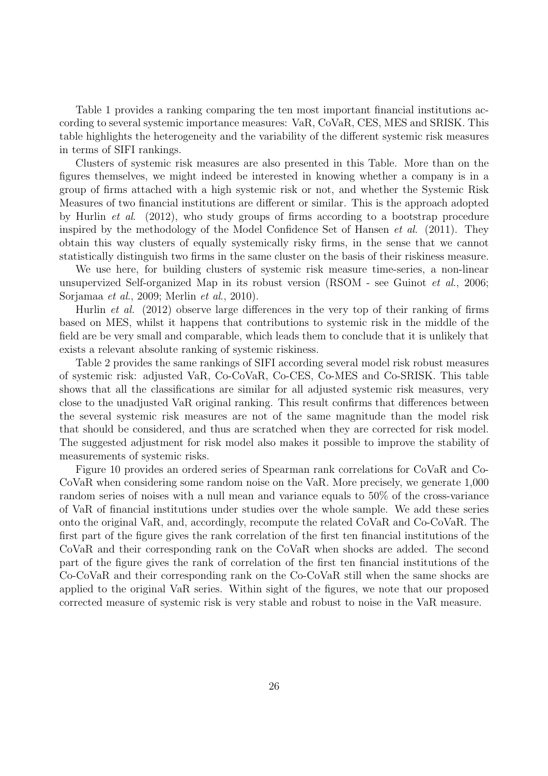Table 1 provides a ranking comparing the ten most important financial institutions according to several systemic importance measures: VaR, CoVaR, CES, MES and SRISK. This table highlights the heterogeneity and the variability of the different systemic risk measures in terms of SIFI rankings.

Clusters of systemic risk measures are also presented in this Table. More than on the figures themselves, we might indeed be interested in knowing whether a company is in a group of firms attached with a high systemic risk or not, and whether the Systemic Risk Measures of two financial institutions are different or similar. This is the approach adopted by Hurlin et al. (2012), who study groups of firms according to a bootstrap procedure inspired by the methodology of the Model Confidence Set of Hansen  $et \ al.$  (2011). They obtain this way clusters of equally systemically risky firms, in the sense that we cannot statistically distinguish two firms in the same cluster on the basis of their riskiness measure.

We use here, for building clusters of systemic risk measure time-series, a non-linear unsupervized Self-organized Map in its robust version (RSOM - see Guinot et al., 2006; Sorjamaa et al., 2009; Merlin et al., 2010).

Hurlin et al. (2012) observe large differences in the very top of their ranking of firms based on MES, whilst it happens that contributions to systemic risk in the middle of the field are be very small and comparable, which leads them to conclude that it is unlikely that exists a relevant absolute ranking of systemic riskiness.

Table 2 provides the same rankings of SIFI according several model risk robust measures of systemic risk: adjusted VaR, Co-CoVaR, Co-CES, Co-MES and Co-SRISK. This table shows that all the classifications are similar for all adjusted systemic risk measures, very close to the unadjusted VaR original ranking. This result confirms that differences between the several systemic risk measures are not of the same magnitude than the model risk that should be considered, and thus are scratched when they are corrected for risk model. The suggested adjustment for risk model also makes it possible to improve the stability of measurements of systemic risks.

Figure 10 provides an ordered series of Spearman rank correlations for CoVaR and Co-CoVaR when considering some random noise on the VaR. More precisely, we generate 1,000 random series of noises with a null mean and variance equals to 50% of the cross-variance of VaR of financial institutions under studies over the whole sample. We add these series onto the original VaR, and, accordingly, recompute the related CoVaR and Co-CoVaR. The first part of the figure gives the rank correlation of the first ten financial institutions of the CoVaR and their corresponding rank on the CoVaR when shocks are added. The second part of the figure gives the rank of correlation of the first ten financial institutions of the Co-CoVaR and their corresponding rank on the Co-CoVaR still when the same shocks are applied to the original VaR series. Within sight of the figures, we note that our proposed corrected measure of systemic risk is very stable and robust to noise in the VaR measure.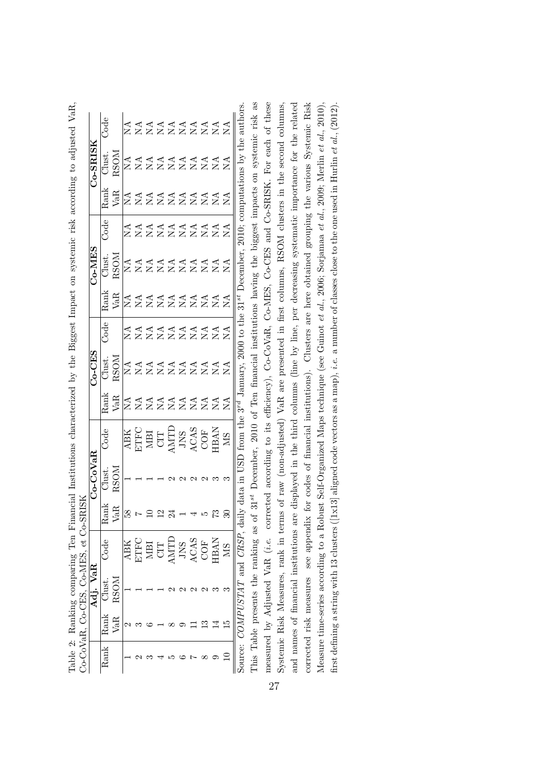|      |      | $\sqrt{\text{aR}}$<br>Adj. |                                                 |   | <b>Co-CoVaR</b>   |                                                                                                                                                                                                                                                                                    |                          | CES                                    |                                        |                          | <b>CHNLO-</b>                            |                                          |                        | $20 - SRISI$                           |                                        |
|------|------|----------------------------|-------------------------------------------------|---|-------------------|------------------------------------------------------------------------------------------------------------------------------------------------------------------------------------------------------------------------------------------------------------------------------------|--------------------------|----------------------------------------|----------------------------------------|--------------------------|------------------------------------------|------------------------------------------|------------------------|----------------------------------------|----------------------------------------|
| łank | Rank | Clust.                     | bode.                                           |   | $_{\rm{Just}}$    | $\bar{C}$ ode                                                                                                                                                                                                                                                                      | $\rm{rank}$              | Just.                                  | <b>Boc</b>                             |                          | Just.                                    |                                          | $\lambda$ ank          | lust.                                  | Bog                                    |
|      | VaR  | λSΟ                        |                                                 | Ã |                   |                                                                                                                                                                                                                                                                                    | VaR                      | RSOM                                   |                                        | Rank<br>VaR              | AOSS                                     |                                          | VaR                    | XOSS                                   |                                        |
|      |      |                            |                                                 |   |                   |                                                                                                                                                                                                                                                                                    |                          |                                        |                                        |                          |                                          |                                          |                        |                                        |                                        |
|      |      |                            | <b>ABK</b><br>ETFC                              |   |                   |                                                                                                                                                                                                                                                                                    |                          |                                        |                                        |                          |                                          |                                          |                        |                                        |                                        |
|      |      |                            |                                                 |   |                   |                                                                                                                                                                                                                                                                                    |                          |                                        |                                        |                          |                                          |                                          |                        |                                        |                                        |
|      |      |                            | $\frac{\text{MBI}}{\text{CIT}}$                 |   |                   | $\begin{array}{l} \begin{array}{l} \begin{subarray}{l} \begin{array}{l} \text{ABK} \\ \text{ETFC} \end{array} \\ \text{MBI} \\ \text{MBI} \\ \text{CIT} \\ \text{MST} \\ \text{MST} \\ \text{AGAS} \\ \text{AGAS} \\ \text{GOF} \\ \text{HAM} \end{array} \end{array} \end{array}$ | gggggggggg<br>ZZZZZZZZZZ | A A A A A A A A A<br>Z Z Z Z Z Z Z Z Z | A A A A A A A A A<br>Z Z Z Z Z Z Z Z Z | gggggggggg<br>ZZZZZZZZZZ | g g g g g g g g g<br>Z Z Z Z Z Z Z Z Z Z | d d d d d d d d d<br>Z Z Z Z Z Z Z Z Z Z | RKKARAKAA<br>EXXXXXXXX | A A A A A A A A A<br>Z Z Z Z Z Z Z Z Z | A A A A A A A A A<br>Z Z Z Z Z Z Z Z Z |
|      |      |                            | AMTI                                            |   |                   |                                                                                                                                                                                                                                                                                    |                          |                                        |                                        |                          |                                          |                                          |                        |                                        |                                        |
|      |      |                            |                                                 |   |                   |                                                                                                                                                                                                                                                                                    |                          |                                        |                                        |                          |                                          |                                          |                        |                                        |                                        |
|      |      |                            | JNS<br>ACAS                                     |   |                   |                                                                                                                                                                                                                                                                                    |                          |                                        |                                        |                          |                                          |                                          |                        |                                        |                                        |
|      |      |                            | 5OD                                             |   |                   |                                                                                                                                                                                                                                                                                    |                          |                                        |                                        |                          |                                          |                                          |                        |                                        |                                        |
|      |      |                            | <b>IBAN</b>                                     |   |                   |                                                                                                                                                                                                                                                                                    |                          |                                        |                                        |                          |                                          |                                          |                        |                                        |                                        |
|      |      |                            | МS                                              |   |                   | $\overline{\rm MS}$                                                                                                                                                                                                                                                                |                          |                                        |                                        |                          |                                          |                                          |                        |                                        |                                        |
|      |      |                            | Source: <i>COMPUSTAT</i> and <i>CRSP</i> , dail |   | JSD<br>Ĕ<br>data. | from the                                                                                                                                                                                                                                                                           |                          | $3^{rd}$ January, 2000 to the          |                                        |                          | 31st December,                           | 2010;                                    |                        | computations by the auth-              |                                        |

| ĺ                                                                                                                                |                                       |
|----------------------------------------------------------------------------------------------------------------------------------|---------------------------------------|
| Ì                                                                                                                                |                                       |
| )<br>ļ                                                                                                                           |                                       |
| :<br>:<br>l                                                                                                                      |                                       |
| Versitze C+ & Stripped Albert Christian Christian Christian Christian Christian Christian Christian C<br>$\mathbf{I}$            |                                       |
| $\overline{a}$                                                                                                                   |                                       |
| しょくくく<br>5.51<br>ĺ                                                                                                               |                                       |
| $\frac{1}{2}$                                                                                                                    |                                       |
| ì                                                                                                                                |                                       |
| <b>DOMO-DECENSIVE</b><br>֧ׅ֦֧֦֧֧֧֧֧֧ׅ֧֧֧֧֧֧֧֧֧֚֚֚֚֚֚֚֚֚֚֚֚֚֚֚֚֚֚֚֚֚֚֚֚֚֚֚֚֚֚֚֡֡֜֓֡֓֡֓֡֓֡֝֓֓֓֓֓֓֝֓֝֬֝֬֝֓֝֬֝֓֝֬֝֬֝֬<br>.<br>.<br>. |                                       |
| ;<br>;<br>֧֦֧֦֦֧֦֦֦֦֧֦֖֦֧֧֧֧֦֧֧֧֧֧֦֧֧֧֧֧֧֚֚֚֚֚֚֚֚֝֝֝֝֬֝֓֝֓֝֬֝֓֝֝֓֝֓֝֓֝֬֝֓֝֬֝֓֜֝֬֝֬֝֬֝֬֝֬֝<br>l                                   |                                       |
| C PC CL<br>ł                                                                                                                     | ーー<br>l<br>į<br>ļ<br>l<br>i<br>Ì<br>ì |
| $\begin{bmatrix} 1 & 0 & 0 \\ 0 & 0 & 0 \\ 0 & 0 & 0 \end{bmatrix}$                                                              | )<br>)                                |
| ĺ<br>)<br>j                                                                                                                      | てしょ て てして<br>)<br> <br>               |
| $\begin{array}{c} \hline \end{array}$<br>١                                                                                       | )<br>]<br>]<br>くしょく                   |
|                                                                                                                                  |                                       |
| į<br>j<br>۱                                                                                                                      | ノンシャンソン<br>ļ                          |

This Table presents the ranking as of 31<sup>st</sup> December, 2010 of Ten financial institutions having the biggest impacts on systemic risk as measured by Adjusted VaR (*i.e.* corrected according to its efficiency), Co-CoVaR, Co-MES, Co-CES and Co-SRISK. For each of these and names of financial institutions are displayed in the third columns (line by line, per decreasing systematic importance for the related corrected risk measures see appendix for codes of financial institutions). Clusters are here obtained grouping the various Systemic Risk This Table presents the ranking as of 31*st* December, 2010 of Ten financial institutions having the biggest impacts on systemic risk as measured by Adjusted VaR (*i.e*. corrected according to its efficiency), Co-CoVaR, Co-MES, Co-CES and Co-SRISK. For each of these Systemic Risk Measures, rank in terms of raw (non-adjusted) VaR are presented in first columns, RSOM clusters in the second columns, Systemic Risk Measures, rank in terms of raw (non-adjusted) VaR are presented in first columns, RSOM clusters in the second columns, and names of financial institutions are displayed in the third columns (line by line, per decreasing systematic importance for the related corrected risk measures see appendix for codes of financial institutions). Clusters are here obtained grouping the various Systemic Risk Measure time-series according to a Robust Self-Organized Maps technique (see Guinot et al., 2006; Sorjamaa et al., 2009; Merlin et al., 2010), Measure time-series according to a Robust Self-Organized Maps technique (see Guinot *et al*., 2006; Sorjamaa *et al*., 2009; Merlin *et al*., 2010), Source: *COMPUSTAT* and *CRSP*, daily data in USD from the 3*rd* January, 2000 to the 31*st* December, 2010; computations by the authors. first defining a string with 13 clusters ([1x13] aligned code vectors as a map), *i.e.* a number of classes close to the one used in Hurlin *et al.*, (2012).

first defining a string with 13 clusters ([1x13] aligned code vectors as a map), *i.e*. a number of classes close to the one used in Hurlin *et al*., (2012).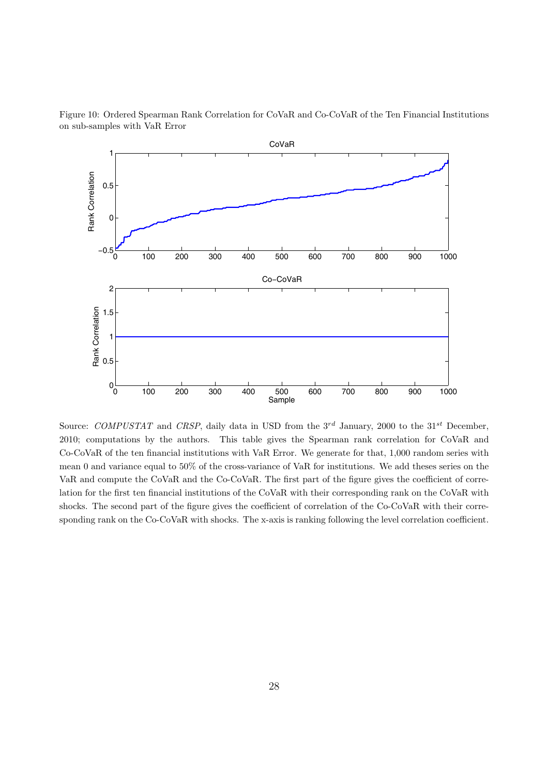

Figure 10: Ordered Spearman Rank Correlation for CoVaR and Co-CoVaR of the Ten Financial Institutions on sub-samples with VaR Error

Source: *COMPUSTAT* and *CRSP*, daily data in USD from the 3<sup>rd</sup> January, 2000 to the 31<sup>st</sup> December, 2010; computations by the authors. This table gives the Spearman rank correlation for CoVaR and Co-CoVaR of the ten financial institutions with VaR Error. We generate for that, 1,000 random series with mean 0 and variance equal to 50% of the cross-variance of VaR for institutions. We add theses series on the VaR and compute the CoVaR and the Co-CoVaR. The first part of the figure gives the coefficient of correlation for the first ten financial institutions of the CoVaR with their corresponding rank on the CoVaR with shocks. The second part of the figure gives the coefficient of correlation of the Co-CoVaR with their corresponding rank on the Co-CoVaR with shocks. The x-axis is ranking following the level correlation coefficient.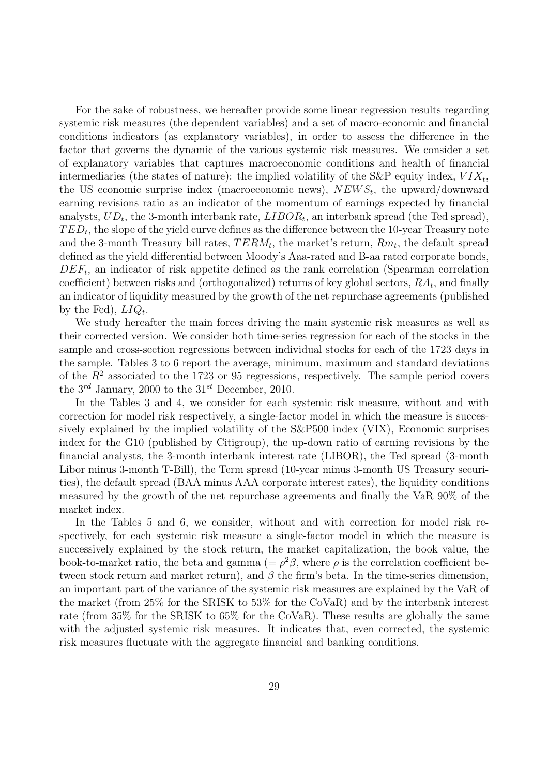For the sake of robustness, we hereafter provide some linear regression results regarding systemic risk measures (the dependent variables) and a set of macro-economic and financial conditions indicators (as explanatory variables), in order to assess the difference in the factor that governs the dynamic of the various systemic risk measures. We consider a set of explanatory variables that captures macroeconomic conditions and health of financial intermediaries (the states of nature): the implied volatility of the S&P equity index,  $VIX_t$ , the US economic surprise index (macroeconomic news),  $NEWS_t$ , the upward/downward earning revisions ratio as an indicator of the momentum of earnings expected by financial analysts,  $UD_t$ , the 3-month interbank rate,  $LIBOR_t$ , an interbank spread (the Ted spread),  $TED_t$ , the slope of the yield curve defines as the difference between the 10-year Treasury note and the 3-month Treasury bill rates,  $TERM_t$ , the market's return,  $Rm_t$ , the default spread defined as the yield differential between Moody's Aaa-rated and B-aa rated corporate bonds,  $DEF<sub>t</sub>$ , an indicator of risk appetite defined as the rank correlation (Spearman correlation coefficient) between risks and (orthogonalized) returns of key global sectors,  $RA_t$ , and finally an indicator of liquidity measured by the growth of the net repurchase agreements (published by the Fed),  $LIQ_t$ .

We study hereafter the main forces driving the main systemic risk measures as well as their corrected version. We consider both time-series regression for each of the stocks in the sample and cross-section regressions between individual stocks for each of the 1723 days in the sample. Tables 3 to 6 report the average, minimum, maximum and standard deviations of the  $R^2$  associated to the 1723 or 95 regressions, respectively. The sample period covers the  $3^{rd}$  January, 2000 to the  $31^{st}$  December, 2010.

In the Tables 3 and 4, we consider for each systemic risk measure, without and with correction for model risk respectively, a single-factor model in which the measure is successively explained by the implied volatility of the S&P500 index (VIX), Economic surprises index for the G10 (published by Citigroup), the up-down ratio of earning revisions by the financial analysts, the 3-month interbank interest rate (LIBOR), the Ted spread (3-month Libor minus 3-month T-Bill), the Term spread (10-year minus 3-month US Treasury securities), the default spread (BAA minus AAA corporate interest rates), the liquidity conditions measured by the growth of the net repurchase agreements and finally the VaR 90% of the market index.

In the Tables 5 and 6, we consider, without and with correction for model risk respectively, for each systemic risk measure a single-factor model in which the measure is successively explained by the stock return, the market capitalization, the book value, the book-to-market ratio, the beta and gamma (=  $\rho^2\beta$ , where  $\rho$  is the correlation coefficient between stock return and market return), and  $\beta$  the firm's beta. In the time-series dimension, an important part of the variance of the systemic risk measures are explained by the VaR of the market (from 25% for the SRISK to 53% for the CoVaR) and by the interbank interest rate (from 35% for the SRISK to 65% for the CoVaR). These results are globally the same with the adjusted systemic risk measures. It indicates that, even corrected, the systemic risk measures fluctuate with the aggregate financial and banking conditions.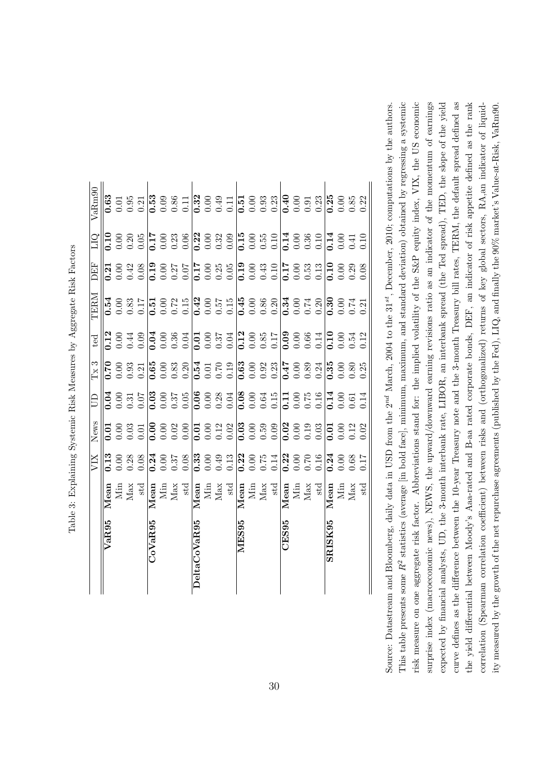|              |                                                                                                                                                                                                                                                                                                                                                                                                                                                                            | XIX                                                                                                                                                                                                                                                                               | News | S | $\Gamma$ x 3 | $_{\rm ted}$                                                                                                                                                                                                                                                                                                                                                                                                  | LERN | DEF | СI | $\rm{VaRm90}$ |
|--------------|----------------------------------------------------------------------------------------------------------------------------------------------------------------------------------------------------------------------------------------------------------------------------------------------------------------------------------------------------------------------------------------------------------------------------------------------------------------------------|-----------------------------------------------------------------------------------------------------------------------------------------------------------------------------------------------------------------------------------------------------------------------------------|------|---|--------------|---------------------------------------------------------------------------------------------------------------------------------------------------------------------------------------------------------------------------------------------------------------------------------------------------------------------------------------------------------------------------------------------------------------|------|-----|----|---------------|
| VaR95        |                                                                                                                                                                                                                                                                                                                                                                                                                                                                            | 0.13                                                                                                                                                                                                                                                                              |      |   |              |                                                                                                                                                                                                                                                                                                                                                                                                               |      |     |    |               |
|              |                                                                                                                                                                                                                                                                                                                                                                                                                                                                            |                                                                                                                                                                                                                                                                                   |      |   |              |                                                                                                                                                                                                                                                                                                                                                                                                               |      |     |    |               |
|              |                                                                                                                                                                                                                                                                                                                                                                                                                                                                            |                                                                                                                                                                                                                                                                                   |      |   |              |                                                                                                                                                                                                                                                                                                                                                                                                               |      |     |    |               |
|              |                                                                                                                                                                                                                                                                                                                                                                                                                                                                            |                                                                                                                                                                                                                                                                                   |      |   |              |                                                                                                                                                                                                                                                                                                                                                                                                               |      |     |    |               |
| CoVaR95      |                                                                                                                                                                                                                                                                                                                                                                                                                                                                            |                                                                                                                                                                                                                                                                                   |      |   |              |                                                                                                                                                                                                                                                                                                                                                                                                               |      |     |    |               |
|              |                                                                                                                                                                                                                                                                                                                                                                                                                                                                            |                                                                                                                                                                                                                                                                                   |      |   |              |                                                                                                                                                                                                                                                                                                                                                                                                               |      |     |    |               |
|              |                                                                                                                                                                                                                                                                                                                                                                                                                                                                            |                                                                                                                                                                                                                                                                                   |      |   |              |                                                                                                                                                                                                                                                                                                                                                                                                               |      |     |    |               |
|              | $\begin{tabular}{l c c c c c} \multicolumn{1}{c}{\textbf{Mean}} & \multicolumn{1}{c}{\textbf{Mean}} & \multicolumn{1}{c}{\textbf{Mean}} & \multicolumn{1}{c}{\textbf{Mear}} & \multicolumn{1}{c}{\textbf{Mear}} & \multicolumn{1}{c}{\textbf{Mear}} & \multicolumn{1}{c}{\textbf{Mear}} & \multicolumn{1}{c}{\textbf{Mear}} & \multicolumn{1}{c}{\textbf{Mear}} & \multicolumn{1}{c}{\textbf{Mear}} & \multicolumn{1}{c}{\textbf{Mear}} & \multicolumn{1}{c}{\textbf{Mear$ | $\begin{array}{cccccccccc} 0.888 & 0.77 & 0.88 & 0.78 & 0.78 & 0.78 & 0.78 & 0.78 & 0.78 & 0.78 & 0.78 & 0.78 & 0.78 & 0.78 & 0.78 & 0.78 & 0.78 & 0.78 & 0.78 & 0.78 & 0.78 & 0.78 & 0.78 & 0.78 & 0.78 & 0.78 & 0.78 & 0.78 & 0.78 & 0.78 & 0.78 & 0.78 & 0.78 & 0.78 & 0.78 &$ |      |   |              | $\begin{array}{l} \mathbf{128} \\ \mathbf{239} \\ \mathbf{369} \\ \mathbf{489} \\ \mathbf{599} \\ \mathbf{699} \\ \mathbf{789} \\ \mathbf{899} \\ \mathbf{899} \\ \mathbf{999} \\ \mathbf{199} \\ \mathbf{109} \\ \mathbf{139} \\ \mathbf{139} \\ \mathbf{149} \\ \mathbf{159} \\ \mathbf{169} \\ \mathbf{189} \\ \mathbf{179} \\ \mathbf{189} \\ \mathbf{189} \\ \mathbf{199} \\ \mathbf{199} \\ \mathbf{18$ |      |     |    |               |
| DeltaCoVaR95 |                                                                                                                                                                                                                                                                                                                                                                                                                                                                            |                                                                                                                                                                                                                                                                                   |      |   |              |                                                                                                                                                                                                                                                                                                                                                                                                               |      |     |    |               |
|              |                                                                                                                                                                                                                                                                                                                                                                                                                                                                            |                                                                                                                                                                                                                                                                                   |      |   |              |                                                                                                                                                                                                                                                                                                                                                                                                               |      |     |    |               |
|              |                                                                                                                                                                                                                                                                                                                                                                                                                                                                            |                                                                                                                                                                                                                                                                                   |      |   |              |                                                                                                                                                                                                                                                                                                                                                                                                               |      |     |    |               |
|              |                                                                                                                                                                                                                                                                                                                                                                                                                                                                            |                                                                                                                                                                                                                                                                                   |      |   |              |                                                                                                                                                                                                                                                                                                                                                                                                               |      |     |    |               |
| MES95        |                                                                                                                                                                                                                                                                                                                                                                                                                                                                            |                                                                                                                                                                                                                                                                                   |      |   |              |                                                                                                                                                                                                                                                                                                                                                                                                               |      |     |    |               |
|              |                                                                                                                                                                                                                                                                                                                                                                                                                                                                            |                                                                                                                                                                                                                                                                                   |      |   |              |                                                                                                                                                                                                                                                                                                                                                                                                               |      |     |    |               |
|              |                                                                                                                                                                                                                                                                                                                                                                                                                                                                            |                                                                                                                                                                                                                                                                                   |      |   |              |                                                                                                                                                                                                                                                                                                                                                                                                               |      |     |    |               |
|              |                                                                                                                                                                                                                                                                                                                                                                                                                                                                            |                                                                                                                                                                                                                                                                                   |      |   |              |                                                                                                                                                                                                                                                                                                                                                                                                               |      |     |    |               |
| CES95        |                                                                                                                                                                                                                                                                                                                                                                                                                                                                            |                                                                                                                                                                                                                                                                                   |      |   |              |                                                                                                                                                                                                                                                                                                                                                                                                               |      |     |    |               |
|              |                                                                                                                                                                                                                                                                                                                                                                                                                                                                            |                                                                                                                                                                                                                                                                                   |      |   |              |                                                                                                                                                                                                                                                                                                                                                                                                               |      |     |    |               |
|              |                                                                                                                                                                                                                                                                                                                                                                                                                                                                            |                                                                                                                                                                                                                                                                                   |      |   |              |                                                                                                                                                                                                                                                                                                                                                                                                               |      |     |    |               |
|              |                                                                                                                                                                                                                                                                                                                                                                                                                                                                            |                                                                                                                                                                                                                                                                                   |      |   |              |                                                                                                                                                                                                                                                                                                                                                                                                               |      |     |    |               |
| SRISK95      |                                                                                                                                                                                                                                                                                                                                                                                                                                                                            |                                                                                                                                                                                                                                                                                   |      |   |              |                                                                                                                                                                                                                                                                                                                                                                                                               |      |     |    |               |
|              |                                                                                                                                                                                                                                                                                                                                                                                                                                                                            |                                                                                                                                                                                                                                                                                   |      |   |              |                                                                                                                                                                                                                                                                                                                                                                                                               |      |     |    |               |
|              |                                                                                                                                                                                                                                                                                                                                                                                                                                                                            |                                                                                                                                                                                                                                                                                   |      |   |              |                                                                                                                                                                                                                                                                                                                                                                                                               |      |     |    |               |
|              |                                                                                                                                                                                                                                                                                                                                                                                                                                                                            |                                                                                                                                                                                                                                                                                   |      |   |              |                                                                                                                                                                                                                                                                                                                                                                                                               |      |     |    |               |

Table 3: Explaining Systemic Risk Measures by Aggregate Risk Factors Table 3: Explaining Systemic Risk Measures by Aggregate Risk Factors

curve defines as the difference between the 10-year Treasury note and the 3-month Treasury bill rates, TERM, the default spread defined as This table presents some  $R^2$  statistics (average [in bold face], minimum, maximum, and standard deviation) obtained by regressing a systemic risk measure on one aggregate risk factor. Abbreviations stand for: the implied volatility of the S&P equity index, VIX, the US economic surprise index (macroeconomic news), NEWS, the upward/downward earning revisions ratio as an indicator of the momentum of earnings expected by financial analysts, UD, the 3-month interbank rate, LIBOR, an interbank spread (the Ted spread), TED, the slope of the yield the yield differential between Moody's Aaa-rated and B-aa rated corporate bonds, DEF, an indicator of risk appetite defined as the rank correlation (Spearman correlation coefficient) between risks and (orthogonalized) returns of key global sectors, RA,an indicator of liquid-Source: Datastream and Bloomberg, daily data in USD from the  $2^{nd}$  March, 2004 to the 31<sup>st</sup>, December, 2010; computations by the authors. This table presents some R2 statistics (average [in bold face], minimum, maximum, and standard deviation) obtained by regressing a systemic risk measure on one aggregate risk factor. Abbreviations stand for: the implied volatility of the S&P equity index, VIX, the US economic surprise index (macroeconomic news), NEWS, the upward/downward earning revisions ratio as an indicator of the momentum of earnings expected by financial analysts, UD, the 3-month interbank rate, LIBOR, an interbank spread (the Ted spread), TED, the slope of the yield curve defines as the difference between the 10-year Treasury note and the 3-month Treasury bill rates, TERM, the default spread defined as the yield differential between Moody's Aaa-rated and B-aa rated corporate bonds, DEF, an indicator of risk appetite defined as the rank correlation (Spearman correlation coefficient) between risks and (orthogonalized) returns of key global sectors, RA,an indicator of liquidity measured by the growth of the net repurchase agreements (published by the Fed), LIQ, and finally the  $90\%$  market's Value-at-Risk, VaRm90. ity measured by the growth of the net repurchase agreements (published by the Fed), LIQ, and finally the 90% market's Value-at-Risk, VaRm90. Source: Datastream and Bloomberg, daily data in USD from the 2*nd* March, 2004 to the 31*st*, December, 2010; computations by the authors.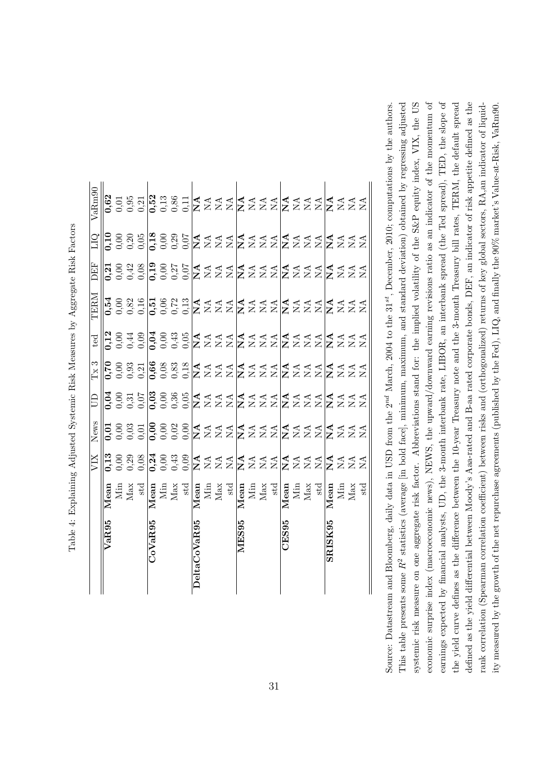| $\overline{a}$           | ı<br>ׇ֚֘֝֬                                                                             |
|--------------------------|----------------------------------------------------------------------------------------|
| '<br>ו                   | I                                                                                      |
|                          | j<br>į                                                                                 |
|                          | .<br>.<br>.                                                                            |
|                          | $\frac{1}{2}$                                                                          |
| l                        |                                                                                        |
| .<br>ا                   | l                                                                                      |
|                          | ļ                                                                                      |
|                          |                                                                                        |
|                          | ׇ֓֕֡<br>Ī<br>ׇ֚֘֝֬<br>$\overline{1}$                                                   |
|                          | ׇ֠<br>֖֖֖֖֖֖֧ׅ֖ׅ֖֧ׅ֖֧ׅ֖֧ׅ֖֧ׅ֧ׅ֖֧ׅ֖֧֪֧֪֧֪ׅ֧֚֚֚֚֚֚֚֚֚֚֚֚֚֚֚֚֚֚֚֚֚֚֚֚֚֚֚֚֚֬֝֝֝֝֝֬֝֬֝֬֝֬֝֬ |
| I                        | l<br>i                                                                                 |
|                          | ׇ֚֘֡                                                                                   |
| $\overline{\phantom{a}}$ | ı<br>į<br>۱                                                                            |
|                          |                                                                                        |

|                |                                                                                                                                                                                                                                                                                                                                 | XIX | News | $\Xi$ | Tx3 | ted                                                                          | TERM | EF | СIЛ                                                     | VaRm90 |
|----------------|---------------------------------------------------------------------------------------------------------------------------------------------------------------------------------------------------------------------------------------------------------------------------------------------------------------------------------|-----|------|-------|-----|------------------------------------------------------------------------------|------|----|---------------------------------------------------------|--------|
| VaR95          |                                                                                                                                                                                                                                                                                                                                 |     |      |       |     |                                                                              |      |    |                                                         |        |
|                |                                                                                                                                                                                                                                                                                                                                 |     |      |       |     |                                                                              |      |    |                                                         |        |
|                |                                                                                                                                                                                                                                                                                                                                 |     |      |       |     |                                                                              |      |    |                                                         |        |
|                |                                                                                                                                                                                                                                                                                                                                 |     |      |       |     |                                                                              |      |    |                                                         |        |
| $\rm CoVaR95$  |                                                                                                                                                                                                                                                                                                                                 |     |      |       |     |                                                                              |      |    |                                                         |        |
|                |                                                                                                                                                                                                                                                                                                                                 |     |      |       |     |                                                                              |      |    |                                                         |        |
|                |                                                                                                                                                                                                                                                                                                                                 |     |      |       |     |                                                                              |      |    |                                                         |        |
|                |                                                                                                                                                                                                                                                                                                                                 |     |      |       |     |                                                                              |      |    |                                                         |        |
| DeltaCoVaR95   |                                                                                                                                                                                                                                                                                                                                 |     |      |       |     |                                                                              |      |    |                                                         |        |
|                |                                                                                                                                                                                                                                                                                                                                 |     |      |       |     |                                                                              |      |    |                                                         |        |
|                |                                                                                                                                                                                                                                                                                                                                 |     |      |       |     |                                                                              |      |    |                                                         |        |
|                |                                                                                                                                                                                                                                                                                                                                 |     |      |       |     |                                                                              |      |    |                                                         |        |
| $_{\rm MES95}$ |                                                                                                                                                                                                                                                                                                                                 |     |      |       |     |                                                                              |      |    |                                                         |        |
|                |                                                                                                                                                                                                                                                                                                                                 |     |      |       |     |                                                                              |      |    |                                                         |        |
|                |                                                                                                                                                                                                                                                                                                                                 |     |      |       |     |                                                                              |      |    |                                                         |        |
|                |                                                                                                                                                                                                                                                                                                                                 |     |      |       |     |                                                                              |      |    |                                                         |        |
| CES95          |                                                                                                                                                                                                                                                                                                                                 |     |      |       |     |                                                                              |      |    |                                                         |        |
|                |                                                                                                                                                                                                                                                                                                                                 |     |      |       |     |                                                                              |      |    |                                                         |        |
|                |                                                                                                                                                                                                                                                                                                                                 |     |      |       |     |                                                                              |      |    |                                                         |        |
|                | $\frac{M_{\text{max}}}{M_{\text{max}}} = \frac{M_{\text{max}}}{M_{\text{max}}} = \frac{M_{\text{max}}}{M_{\text{max}}} = \frac{M_{\text{max}}}{M_{\text{max}}} = \frac{M_{\text{max}}}{M_{\text{max}}} = \frac{M_{\text{max}}}{M_{\text{max}}} = \frac{M_{\text{max}}}{M_{\text{max}}} = \frac{M_{\text{max}}}{M_{\text{max}}}$ |     |      |       |     | ς<br>Γροφοροφορικατία τα ήτα τα ήτα τα κατά<br>Γροφοροφορικατία τα αποτελεία |      |    | OSR9028025d AAAAAAAAAAAAAAA<br>GooodooocaaaAAAAAAAAAAAA |        |
| SRISK95        |                                                                                                                                                                                                                                                                                                                                 |     |      |       |     |                                                                              |      |    |                                                         |        |
|                |                                                                                                                                                                                                                                                                                                                                 |     |      |       |     |                                                                              |      |    |                                                         |        |
|                |                                                                                                                                                                                                                                                                                                                                 |     |      |       |     |                                                                              |      |    |                                                         |        |
|                |                                                                                                                                                                                                                                                                                                                                 |     |      |       |     |                                                                              |      |    |                                                         |        |

systemic risk measure on one aggregate risk factor. Abbreviations stand for: the implied volatility of the S&P equity index, VIX, the US economic surprise index (macroeconomic news), NEWS, the upward/downward earning revisions ratio as an indicator of the momentum of earnings expected by financial analysts, UD, the 3-month interbank rate, LIBOR, an interbank spread (the Ted spread), TED, the slope of This table presents some  $R^2$  statistics (average [in bold face], minimum, maximum, and standard deviation) obtained by regressing adjusted economic surprise index (macroeconomic news), NEWS, the upward/downward earning revisions ratio as an indicator of the momentum of earnings expected by financial analysts, UD, the 3-month interbank rate, LIBOR, an interbank spread (the Ted spread), TED, the slope of the yield curve defines as the difference between the 10-year Treasury note and the 3-month Treasury bill rates, TERM, the default spread defined as the yield differential between Moody's Aaa-rated and B-aa rated corporate bonds, DEF, an indicator of risk appetite defined as the rank correlation (Spearman correlation coefficient) between risks and (orthogonalized) returns of key global sectors, RA,an indicator of liquid-Source: Datastream and Bloomberg, daily data in USD from the  $2^{nd}$  March, 2004 to the  $31^{st}$ , December, 2010; computations by the authors.  $R^2$  statistics (average [in bold face], minimum, maximum, and standard deviation) obtained by regressing adjusted systemic risk measure on one aggregate risk factor. Abbreviations stand for: the implied volatility of the S&P equity index, VIX, the US the yield curve defines as the difference between the 10-year Treasury note and the 3-month Treasury bill rates, TERM, the default spread defined as the yield differential between Moody's Aaa-rated and B-aa rated corporate bonds, DEF, an indicator of risk appetite defined as the rank correlation (Spearman correlation coefficient) between risks and (orthogonalized) returns of key global sectors, RA,an indicator of liquidity measured by the growth of the net repurchase agreements (published by the Fed), LIQ, and finally the  $90\%$  market's Value-at-Risk, VaRm90. ity measured by the growth of the net repurchase agreements (published by the Fed), LIQ, and finally the 90% market's Value-at-Risk, VaRm90. Source: Datastream and Bloomberg, daily data in USD from the 2*nd* March, 2004 to the 31*st*, December, 2010; computations by the authors. This table presents some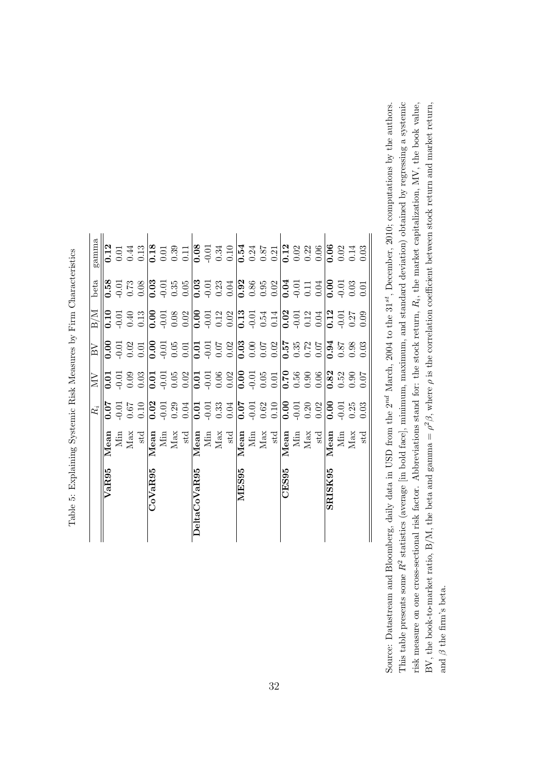|                   |                                                                                                              | $\dot{R_i}$ | ЙN   | $\overline{\text{BV}}$ | $_{\rm B/M}$ | beta | gamma |
|-------------------|--------------------------------------------------------------------------------------------------------------|-------------|------|------------------------|--------------|------|-------|
| VaR95             | Mean                                                                                                         | 70.07       | 0.01 | 0.00                   | 0.10         | 0.58 | 0.12  |
|                   |                                                                                                              |             |      |                        |              |      |       |
|                   |                                                                                                              |             |      |                        |              |      |       |
|                   | Min<br>Max<br>std                                                                                            |             |      |                        |              |      |       |
| CoVaR95           |                                                                                                              |             |      |                        |              |      |       |
|                   |                                                                                                              |             |      |                        |              |      |       |
|                   |                                                                                                              |             |      |                        |              |      |       |
|                   | $\begin{array}{c} \textbf{Mean} \\ \textbf{Min} \\ \textbf{Max} \\ \textbf{Max} \\ \textbf{std} \end{array}$ |             |      |                        |              |      |       |
| DeltaCoVaR95      |                                                                                                              |             |      |                        |              |      |       |
|                   |                                                                                                              |             |      |                        |              |      |       |
|                   |                                                                                                              |             |      |                        |              |      |       |
|                   | $\begin{tabular}{c} \bf Mean\\ \hline \bf Man\\ \bf Min\\ \bf Max\\ \bf Max\\ \end{tabular}$                 |             |      |                        |              |      |       |
| MES <sub>95</sub> |                                                                                                              |             |      |                        |              |      |       |
|                   | $\begin{array}{c} \textbf{Mean} \\ \textbf{Min} \\ \textbf{Max} \\ \textbf{Max} \end{array}$                 |             |      |                        |              |      |       |
|                   |                                                                                                              |             |      |                        |              |      |       |
|                   |                                                                                                              |             |      |                        |              |      |       |
| CES95             |                                                                                                              |             |      |                        |              |      |       |
|                   |                                                                                                              |             |      |                        |              |      |       |
|                   |                                                                                                              |             |      |                        |              |      |       |
|                   | $\begin{tabular}{l} \bf Mean\\ \bf Min\\ \bf Min\\ \bf Max\\ \bf Max\\ \end{tabular}$                        |             |      |                        |              |      |       |
| SRISK95           |                                                                                                              |             |      |                        |              |      |       |
|                   |                                                                                                              |             |      |                        |              |      |       |
|                   | Mean<br>Min<br>Max<br>Max<br>std                                                                             |             |      |                        |              |      |       |
|                   |                                                                                                              |             |      |                        |              |      |       |

Table 5: Explaining Systemic Risk Measures by Firm Characteristics Table 5: Explaining Systemic Risk Measures by Firm Characteristics

This table presents some  $R^2$  statistics (average [in bold face], minimum, maximum, and standard deviation) obtained by regressing a systemic Source: Datastream and Bloomberg, daily data in USD from the  $2^{nd}$  March,  $2004$  to the  $31^{st}$ , December,  $2010$ ; computations by the authors. risk measure on one cross-sectional risk factor. Abbreviations stand for: the stock return,  $R_i$ , the market capitalization, MV, the book value, BV, the book-to-market ratio, B/M, the beta and gamma =  $\rho^2 \beta$ , where  $\rho$  is the correlation coefficient between stock return and market return, This table presents some R2 statistics (average [in bold face], minimum, maximum, and standard deviation) obtained by regressing a systemic risk measure on one cross-sectional risk factor. Abbreviations stand for: the stock return, R*i*, the market capitalization, MV, the book value, BV, the book-to-market ratio, B/M, the beta and gamma =  $\rho^2 \beta$ , where  $\rho$  is the correlation coefficient between stock return and market return, Source: Datastream and Bloomberg, daily data in USD from the 2*nd* March, 2004 to the 31*st*, December, 2010; computations by the authors. and  $\beta$  the firm's beta. and  $\beta$  the firm's beta.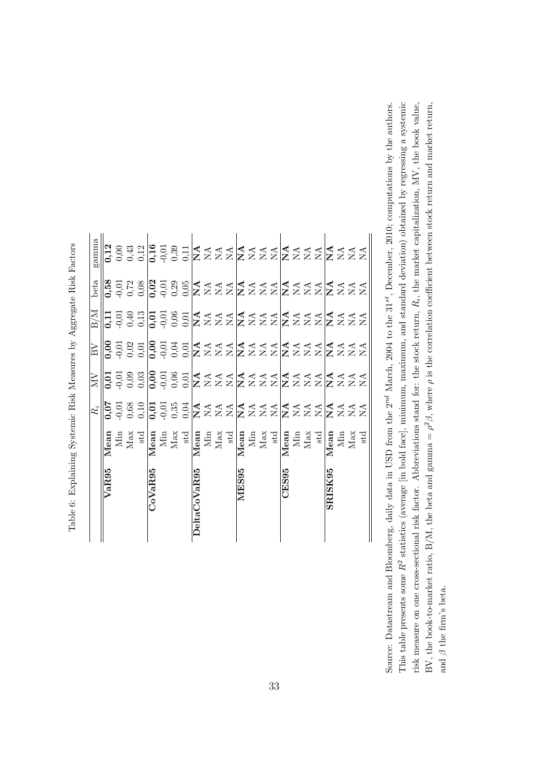|              |                                                                                                                                                                                                          | $\sum_{i=1}^{n}$ | $\overline{\text{BV}}$ | $\overline{\text{M}}$                            | beta | gamma                                               |
|--------------|----------------------------------------------------------------------------------------------------------------------------------------------------------------------------------------------------------|------------------|------------------------|--------------------------------------------------|------|-----------------------------------------------------|
| VaR95        |                                                                                                                                                                                                          |                  |                        |                                                  |      |                                                     |
|              |                                                                                                                                                                                                          |                  |                        |                                                  |      |                                                     |
|              |                                                                                                                                                                                                          |                  |                        |                                                  |      |                                                     |
|              | $\begin{tabular}{c} \bf Mean\\ \bf Min\\ \bf Min\\ \bf Max\\ \bf Max\\ \end{tabular}$                                                                                                                    |                  |                        | ΠΞθΩΘΕΘΕΚΑΑΑΚΑΑΑΚΑΑΑΚΑΑ<br>ΓΟΘΕΘΕΘΕΣΣΣΣΣΣΣΣΣΣΣΣΣ |      | nogaledadadadadadadada<br>6666669602zzzZzzzzzzzzzzz |
| CoVaR95      |                                                                                                                                                                                                          |                  |                        |                                                  |      |                                                     |
|              |                                                                                                                                                                                                          |                  |                        |                                                  |      |                                                     |
|              |                                                                                                                                                                                                          |                  |                        |                                                  |      |                                                     |
|              |                                                                                                                                                                                                          |                  |                        |                                                  |      |                                                     |
| DeltaCoVaR95 |                                                                                                                                                                                                          |                  |                        |                                                  |      |                                                     |
|              |                                                                                                                                                                                                          |                  |                        |                                                  |      |                                                     |
|              |                                                                                                                                                                                                          |                  |                        |                                                  |      |                                                     |
|              |                                                                                                                                                                                                          |                  |                        |                                                  |      |                                                     |
| MES95        |                                                                                                                                                                                                          |                  |                        |                                                  |      |                                                     |
|              |                                                                                                                                                                                                          |                  |                        |                                                  |      |                                                     |
|              |                                                                                                                                                                                                          |                  |                        |                                                  |      |                                                     |
|              |                                                                                                                                                                                                          |                  |                        |                                                  |      |                                                     |
| CES95        |                                                                                                                                                                                                          |                  |                        |                                                  |      |                                                     |
|              |                                                                                                                                                                                                          |                  |                        |                                                  |      |                                                     |
|              |                                                                                                                                                                                                          |                  |                        |                                                  |      |                                                     |
|              | Mean<br>Mini<br>Max st<br>$\frac{\text{sd}}{\text{Max}}$ with $\frac{\text{sd}}{\text{Max}}$ and $\frac{\text{sd}}{\text{Max}}$ and<br>$\frac{\text{sd}}{\text{Max}}$ and $\frac{\text{sd}}{\text{Max}}$ |                  |                        |                                                  |      |                                                     |
| SRISK95      | Mean<br>Min<br>Max<br>Max<br>std                                                                                                                                                                         |                  |                        |                                                  |      |                                                     |
|              |                                                                                                                                                                                                          |                  |                        |                                                  |      |                                                     |
|              |                                                                                                                                                                                                          |                  |                        |                                                  |      |                                                     |
|              |                                                                                                                                                                                                          |                  |                        |                                                  |      |                                                     |
|              |                                                                                                                                                                                                          |                  |                        |                                                  |      |                                                     |

Table 6: Explaining Systemic Risk Measures by Aggregate Risk Factors Table 6: Explaining Systemic Risk Measures by Aggregate Risk Factors

This table presents some  $R^2$  statistics (average [in bold face], minimum, maximum, and standard deviation) obtained by regressing a systemic Source: Datastream and Bloomberg, daily data in USD from the  $2^{nd}$  March,  $2004$  to the  $31^{st}$ , December,  $2010$ ; computations by the authors. risk measure on one cross-sectional risk factor. Abbreviations stand for: the stock return,  $R_i$ , the market capitalization, MV, the book value, BV, the book-to-market ratio, B/M, the beta and gamma =  $\rho^2 \beta$ , where  $\rho$  is the correlation coefficient between stock return and market return, This table presents some R2 statistics (average [in bold face], minimum, maximum, and standard deviation) obtained by regressing a systemic risk measure on one cross-sectional risk factor. Abbreviations stand for: the stock return, R*i*, the market capitalization, MV, the book value, BV, the book-to-market ratio, B/M, the beta and gamma =  $\rho^2 \beta$ , where  $\rho$  is the correlation coefficient between stock return and market return, Source: Datastream and Bloomberg, daily data in USD from the 2*nd* March, 2004 to the 31*st*, December, 2010; computations by the authors. and  $\beta$  the firm's beta. and  $\beta$  the firm's beta.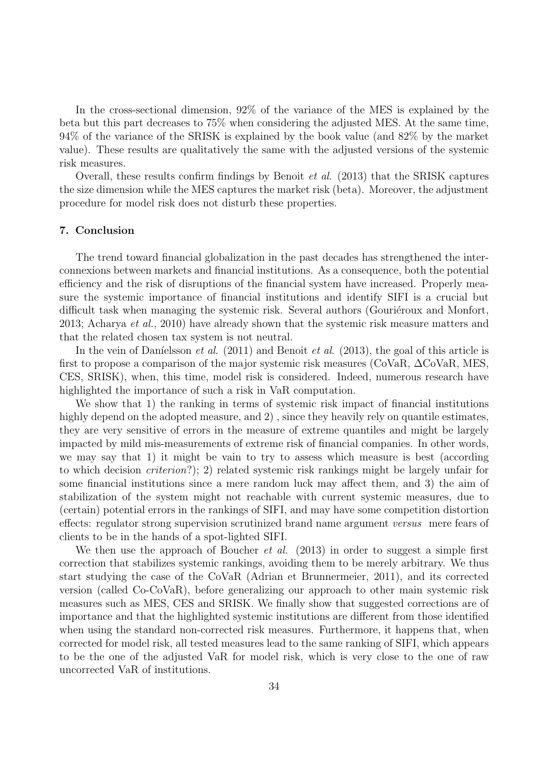In the cross-sectional dimension, 92% of the variance of the MES is explained by the beta but this part decreases to 75% when considering the adjusted MES. At the same time, 94% of the variance of the SRISK is explained by the book value (and 82% by the market value). These results are qualitatively the same with the adjusted versions of the systemic risk measures.

Overall, these results confirm findings by Benoit et al. (2013) that the SRISK captures the size dimension while the MES captures the market risk (beta). Moreover, the adjustment procedure for model risk does not disturb these properties.

## **7. Conclusion**

The trend toward financial globalization in the past decades has strengthened the interconnexions between markets and financial institutions. As a consequence, both the potential efficiency and the risk of disruptions of the financial system have increased. Properly measure the systemic importance of financial institutions and identify SIFI is a crucial but difficult task when managing the systemic risk. Several authors (Gouriéroux and Monfort, 2013; Acharya et al., 2010) have already shown that the systemic risk measure matters and that the related chosen tax system is not neutral.

In the vein of Daníelsson *et al.* (2011) and Benoit *et al.* (2013), the goal of this article is first to propose a comparison of the major systemic risk measures ( $\text{CoVaR}, \Delta \text{CoVaR}, \text{MES},$ CES, SRISK), when, this time, model risk is considered. Indeed, numerous research have highlighted the importance of such a risk in VaR computation.

We show that 1) the ranking in terms of systemic risk impact of financial institutions highly depend on the adopted measure, and 2), since they heavily rely on quantile estimates, they are very sensitive of errors in the measure of extreme quantiles and might be largely impacted by mild mis-measurements of extreme risk of financial companies. In other words, we may say that 1) it might be vain to try to assess which measure is best (according to which decision criterion?); 2) related systemic risk rankings might be largely unfair for some financial institutions since a mere random luck may affect them, and 3) the aim of stabilization of the system might not reachable with current systemic measures, due to (certain) potential errors in the rankings of SIFI, and may have some competition distortion effects: regulator strong supervision scrutinized brand name argument versus mere fears of clients to be in the hands of a spot-lighted SIFI.

We then use the approach of Boucher *et al.*  $(2013)$  in order to suggest a simple first correction that stabilizes systemic rankings, avoiding them to be merely arbitrary. We thus start studying the case of the CoVaR (Adrian et Brunnermeier, 2011), and its corrected version (called Co-CoVaR), before generalizing our approach to other main systemic risk measures such as MES, CES and SRISK. We finally show that suggested corrections are of importance and that the highlighted systemic institutions are different from those identified when using the standard non-corrected risk measures. Furthermore, it happens that, when corrected for model risk, all tested measures lead to the same ranking of SIFI, which appears to be the one of the adjusted VaR for model risk, which is very close to the one of raw uncorrected VaR of institutions.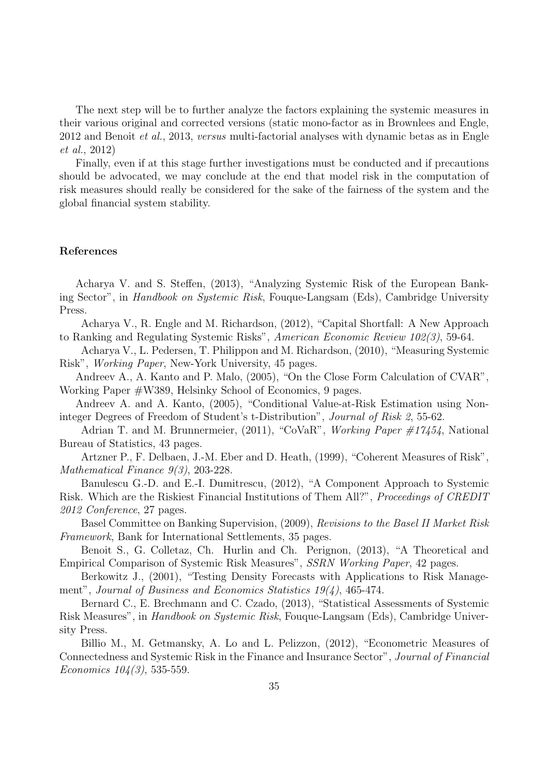The next step will be to further analyze the factors explaining the systemic measures in their various original and corrected versions (static mono-factor as in Brownlees and Engle, 2012 and Benoit et al., 2013, versus multi-factorial analyses with dynamic betas as in Engle et al., 2012)

Finally, even if at this stage further investigations must be conducted and if precautions should be advocated, we may conclude at the end that model risk in the computation of risk measures should really be considered for the sake of the fairness of the system and the global financial system stability.

# **References**

Acharya V. and S. Steffen, (2013), "Analyzing Systemic Risk of the European Banking Sector", in Handbook on Systemic Risk, Fouque-Langsam (Eds), Cambridge University Press.

Acharya V., R. Engle and M. Richardson, (2012), "Capital Shortfall: A New Approach to Ranking and Regulating Systemic Risks", American Economic Review 102(3), 59-64.

Acharya V., L. Pedersen, T. Philippon and M. Richardson, (2010), "Measuring Systemic Risk", Working Paper, New-York University, 45 pages.

Andreev A., A. Kanto and P. Malo, (2005), "On the Close Form Calculation of CVAR", Working Paper #W389, Helsinky School of Economics, 9 pages.

Andreev A. and A. Kanto, (2005), "Conditional Value-at-Risk Estimation using Noninteger Degrees of Freedom of Student's t-Distribution", Journal of Risk 2, 55-62.

Adrian T. and M. Brunnermeier, (2011), "CoVaR", Working Paper #17454, National Bureau of Statistics, 43 pages.

Artzner P., F. Delbaen, J.-M. Eber and D. Heath, (1999), "Coherent Measures of Risk", Mathematical Finance 9(3), 203-228.

Banulescu G.-D. and E.-I. Dumitrescu, (2012), "A Component Approach to Systemic Risk. Which are the Riskiest Financial Institutions of Them All?", Proceedings of CREDIT 2012 Conference, 27 pages.

Basel Committee on Banking Supervision, (2009), Revisions to the Basel II Market Risk Framework, Bank for International Settlements, 35 pages.

Benoit S., G. Colletaz, Ch. Hurlin and Ch. Perignon, (2013), "A Theoretical and Empirical Comparison of Systemic Risk Measures", SSRN Working Paper, 42 pages.

Berkowitz J., (2001), "Testing Density Forecasts with Applications to Risk Management", Journal of Business and Economics Statistics 19(4), 465-474.

Bernard C., E. Brechmann and C. Czado, (2013), "Statistical Assessments of Systemic Risk Measures", in Handbook on Systemic Risk, Fouque-Langsam (Eds), Cambridge University Press.

Billio M., M. Getmansky, A. Lo and L. Pelizzon, (2012), "Econometric Measures of Connectedness and Systemic Risk in the Finance and Insurance Sector", Journal of Financial Economics  $104(3)$ , 535-559.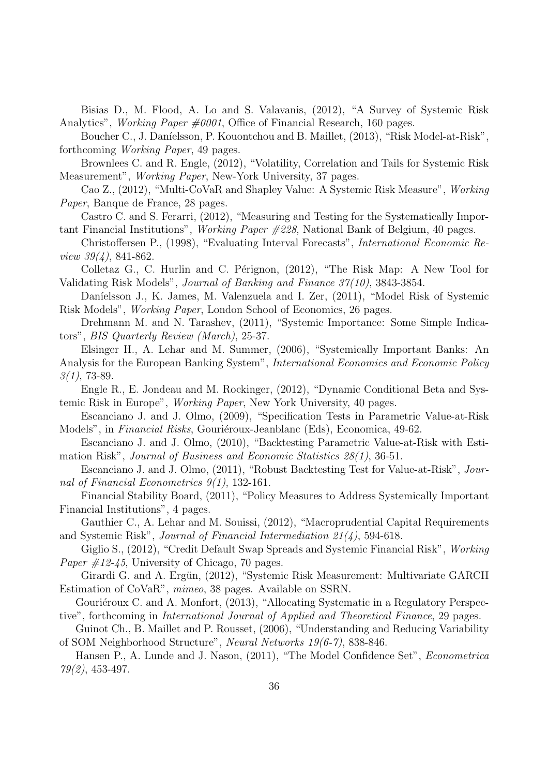Bisias D., M. Flood, A. Lo and S. Valavanis, (2012), "A Survey of Systemic Risk Analytics", *Working Paper*  $\#0001$ , Office of Financial Research, 160 pages.

Boucher C., J. Daníelsson, P. Kouontchou and B. Maillet, (2013), "Risk Model-at-Risk", forthcoming Working Paper, 49 pages.

Brownlees C. and R. Engle, (2012), "Volatility, Correlation and Tails for Systemic Risk Measurement", Working Paper, New-York University, 37 pages.

Cao Z., (2012), "Multi-CoVaR and Shapley Value: A Systemic Risk Measure", Working Paper, Banque de France, 28 pages.

Castro C. and S. Ferarri, (2012), "Measuring and Testing for the Systematically Important Financial Institutions", Working Paper #228, National Bank of Belgium, 40 pages.

Christoffersen P., (1998), "Evaluating Interval Forecasts", International Economic Review 39(4), 841-862.

Colletaz G., C. Hurlin and C. Pérignon,  $(2012)$ , "The Risk Map: A New Tool for Validating Risk Models", Journal of Banking and Finance 37(10), 3843-3854.

Daníelsson J., K. James, M. Valenzuela and I. Zer, (2011), "Model Risk of Systemic Risk Models", Working Paper, London School of Economics, 26 pages.

Drehmann M. and N. Tarashev, (2011), "Systemic Importance: Some Simple Indicators", BIS Quarterly Review (March), 25-37.

Elsinger H., A. Lehar and M. Summer, (2006), "Systemically Important Banks: An Analysis for the European Banking System", International Economics and Economic Policy  $3(1)$ , 73-89.

Engle R., E. Jondeau and M. Rockinger, (2012), "Dynamic Conditional Beta and Systemic Risk in Europe", Working Paper, New York University, 40 pages.

Escanciano J. and J. Olmo, (2009), "Specification Tests in Parametric Value-at-Risk Models", in Financial Risks, Gouriéroux-Jeanblanc (Eds), Economica, 49-62.

Escanciano J. and J. Olmo, (2010), "Backtesting Parametric Value-at-Risk with Estimation Risk", Journal of Business and Economic Statistics 28(1), 36-51.

Escanciano J. and J. Olmo, (2011), "Robust Backtesting Test for Value-at-Risk", Journal of Financial Econometrics 9(1), 132-161.

Financial Stability Board, (2011), "Policy Measures to Address Systemically Important Financial Institutions", 4 pages.

Gauthier C., A. Lehar and M. Souissi, (2012), "Macroprudential Capital Requirements and Systemic Risk", Journal of Financial Intermediation 21(4), 594-618.

Giglio S., (2012), "Credit Default Swap Spreads and Systemic Financial Risk", Working *Paper*  $\#12-\frac{1}{5}$ *,* University of Chicago, 70 pages.

Girardi G. and A. Ergün, (2012), "Systemic Risk Measurement: Multivariate GARCH Estimation of CoVaR", mimeo, 38 pages. Available on SSRN.

Gouriéroux C. and A. Monfort, (2013), "Allocating Systematic in a Regulatory Perspective", forthcoming in International Journal of Applied and Theoretical Finance, 29 pages.

Guinot Ch., B. Maillet and P. Rousset, (2006), "Understanding and Reducing Variability of SOM Neighborhood Structure", Neural Networks 19(6-7), 838-846.

Hansen P., A. Lunde and J. Nason, (2011), "The Model Confidence Set", Econometrica 79(2), 453-497.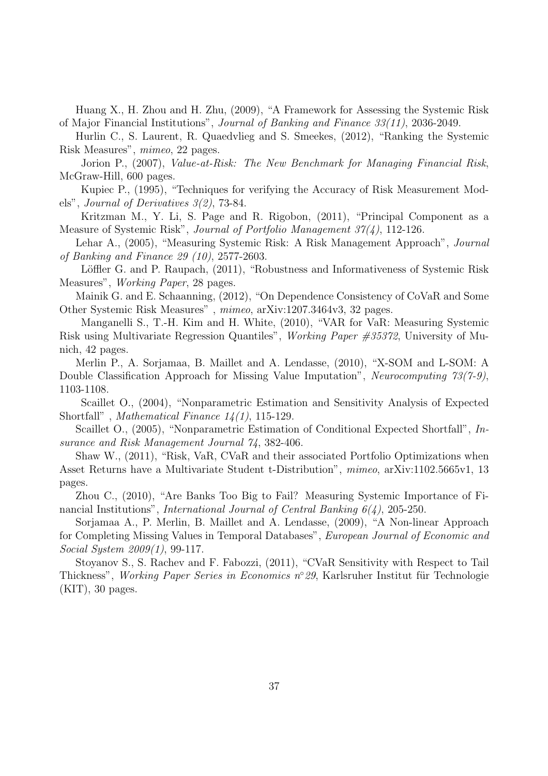Huang X., H. Zhou and H. Zhu, (2009), "A Framework for Assessing the Systemic Risk of Major Financial Institutions", Journal of Banking and Finance 33(11), 2036-2049.

Hurlin C., S. Laurent, R. Quaedvlieg and S. Smeekes, (2012), "Ranking the Systemic Risk Measures", mimeo, 22 pages.

Jorion P., (2007), Value-at-Risk: The New Benchmark for Managing Financial Risk, McGraw-Hill, 600 pages.

Kupiec P., (1995), "Techniques for verifying the Accuracy of Risk Measurement Models", Journal of Derivatives 3(2), 73-84.

Kritzman M., Y. Li, S. Page and R. Rigobon, (2011), "Principal Component as a Measure of Systemic Risk", Journal of Portfolio Management 37(4), 112-126.

Lehar A., (2005), "Measuring Systemic Risk: A Risk Management Approach", Journal of Banking and Finance 29 (10), 2577-2603.

Löffler G. and P. Raupach, (2011), "Robustness and Informativeness of Systemic Risk Measures", Working Paper, 28 pages.

Mainik G. and E. Schaanning, (2012), "On Dependence Consistency of CoVaR and Some Other Systemic Risk Measures" , mimeo, arXiv:1207.3464v3, 32 pages.

Manganelli S., T.-H. Kim and H. White, (2010), "VAR for VaR: Measuring Systemic Risk using Multivariate Regression Quantiles", Working Paper #35372, University of Munich, 42 pages.

Merlin P., A. Sorjamaa, B. Maillet and A. Lendasse, (2010), "X-SOM and L-SOM: A Double Classification Approach for Missing Value Imputation", Neurocomputing 73(7-9), 1103-1108.

Scaillet O., (2004), "Nonparametric Estimation and Sensitivity Analysis of Expected Shortfall", *Mathematical Finance*  $14(1)$ , 115-129.

Scaillet O., (2005), "Nonparametric Estimation of Conditional Expected Shortfall", Insurance and Risk Management Journal 74, 382-406.

Shaw W., (2011), "Risk, VaR, CVaR and their associated Portfolio Optimizations when Asset Returns have a Multivariate Student t-Distribution", mimeo, arXiv:1102.5665v1, 13 pages.

Zhou C., (2010), "Are Banks Too Big to Fail? Measuring Systemic Importance of Financial Institutions", International Journal of Central Banking 6(4), 205-250.

Sorjamaa A., P. Merlin, B. Maillet and A. Lendasse, (2009), "A Non-linear Approach for Completing Missing Values in Temporal Databases", European Journal of Economic and Social System 2009(1), 99-117.

Stoyanov S., S. Rachev and F. Fabozzi, (2011), "CVaR Sensitivity with Respect to Tail Thickness", *Working Paper Series in Economics*  $n°29$ , Karlsruher Institut für Technologie  $(KIT)$ , 30 pages.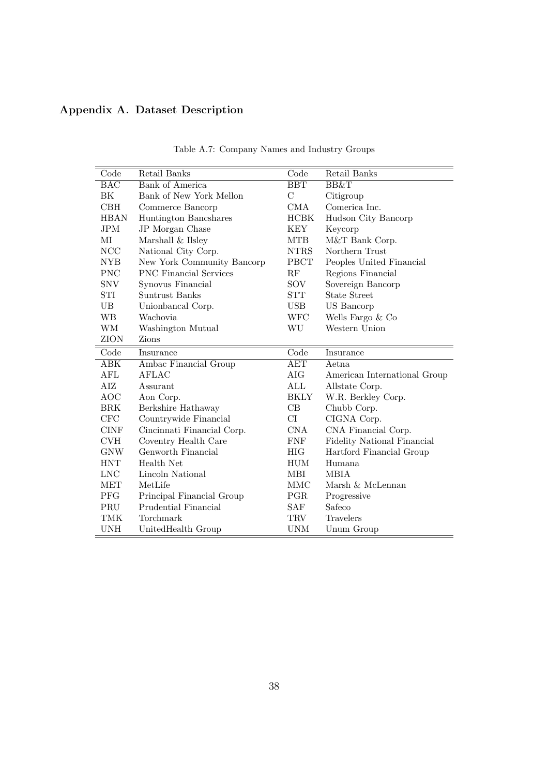# **Appendix A. Dataset Description**

| Code           | Retail Banks                  | Code           | Retail Banks                 |
|----------------|-------------------------------|----------------|------------------------------|
| <b>BAC</b>     | <b>Bank of America</b>        | <b>BBT</b>     | BB&T                         |
| ΒK             | Bank of New York Mellon       | $\overline{C}$ | Citigroup                    |
| CBH            | Commerce Bancorp              | <b>CMA</b>     | Comerica Inc.                |
| <b>HBAN</b>    | Huntington Bancshares         | <b>HCBK</b>    | Hudson City Bancorp          |
| $\mathrm{JPM}$ | JP Morgan Chase               | <b>KEY</b>     | Keycorp                      |
| MI             | Marshall & Ilsley             | <b>MTB</b>     | M&T Bank Corp.               |
| NCC            | National City Corp.           | <b>NTRS</b>    | Northern Trust               |
| NYB            | New York Community Bancorp    | <b>PBCT</b>    | Peoples United Financial     |
| <b>PNC</b>     | <b>PNC</b> Financial Services | RF             | Regions Financial            |
| <b>SNV</b>     | Synovus Financial             | SOV            | Sovereign Bancorp            |
| STI            | Suntrust Banks                | <b>STT</b>     | State Street                 |
| UB             | Unionbancal Corp.             | <b>USB</b>     | US Bancorp                   |
| WВ             | Wachovia                      | WFC            | Wells Fargo & Co             |
| <b>WM</b>      | Washington Mutual             | WU             | Western Union                |
| <b>ZION</b>    | Zions                         |                |                              |
| Code           | Insurance                     | Code           | Insurance                    |
| ABK            | Ambac Financial Group         | <b>AET</b>     | Aetna                        |
| AFL            | <b>AFLAC</b>                  | AIG            | American International Group |
| AIZ            | Assurant                      | $\rm ALL$      | Allstate Corp.               |
| <b>AOC</b>     | Aon Corp.                     | BKLY           | W.R. Berkley Corp.           |
| BRK            | Berkshire Hathaway            | CB             | Chubb Corp.                  |
| <b>CFC</b>     | Countrywide Financial         | CI             | CIGNA Corp.                  |
| <b>CINF</b>    | Cincinnati Financial Corp.    | <b>CNA</b>     | CNA Financial Corp.          |
| <b>CVH</b>     | Coventry Health Care          | ${\rm FNF}$    | Fidelity National Financial  |
| GNW            | Genworth Financial            | HIG.           | Hartford Financial Group     |
| <b>HNT</b>     | Health Net                    | HUM            | Humana                       |
| <b>LNC</b>     | Lincoln National              | MBI            | <b>MBIA</b>                  |
| MET            | MetLife                       | MMC            | Marsh & McLennan             |
| <b>PFG</b>     | Principal Financial Group     | PGR            | Progressive                  |
| PRU            | Prudential Financial          | SAF            | Safeco                       |
| TMK            | Torchmark                     | <b>TRV</b>     | <b>Travelers</b>             |
| <b>UNH</b>     | UnitedHealth Group            | <b>UNM</b>     | Unum Group                   |

Table A.7: Company Names and Industry Groups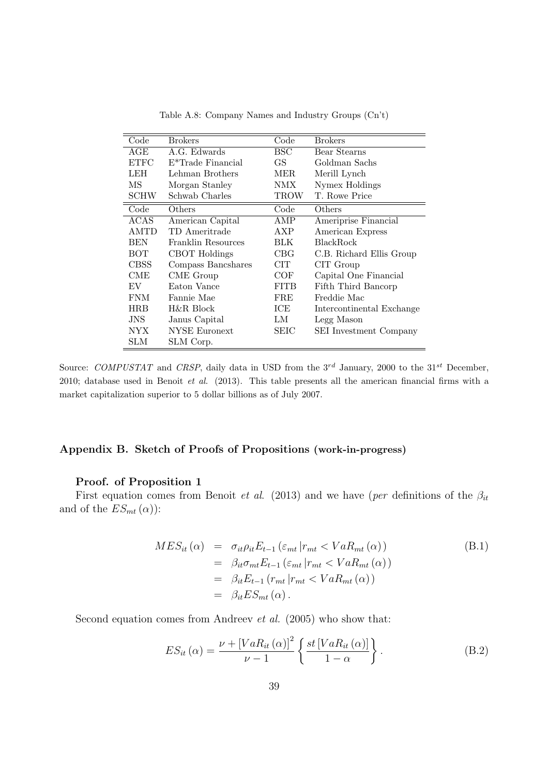| Code        | <b>Brokers</b>                 | Code         | <b>Brokers</b>            |
|-------------|--------------------------------|--------------|---------------------------|
| AGE         | A.G. Edwards                   | $_{\rm BSC}$ | Bear Stearns              |
| <b>ETFC</b> | E <sup>*</sup> Trade Financial | GS           | Goldman Sachs             |
| LEH         | Lehman Brothers                | MER          | Merill Lynch              |
| MS          | Morgan Stanley                 | NMX          | Nymex Holdings            |
| <b>SCHW</b> | Schwab Charles                 | TROW         | T. Rowe Price             |
| Code        | Others                         | Code         | Others                    |
| <b>ACAS</b> | American Capital               | AMP          | Ameriprise Financial      |
| <b>AMTD</b> | TD Ameritrade                  | AXP          | American Express          |
| <b>BEN</b>  | Franklin Resources             | BLK          | <b>BlackRock</b>          |
| вот         | CBOT Holdings                  | CBG          | C.B. Richard Ellis Group  |
| <b>CBSS</b> | Compass Bancshares             | CIT          | CIT Group                 |
| <b>CME</b>  | CME Group                      | COF          | Capital One Financial     |
| EV          | Eaton Vance                    | FITB         | Fifth Third Bancorp       |
| <b>FNM</b>  | Fannie Mae                     | FRE          | Freddie Mac               |
| <b>HRB</b>  | H&R Block                      | ICE          | Intercontinental Exchange |
| JNS         | Janus Capital                  | LМ           | Legg Mason                |
| NYX.        | NYSE Euronext                  | SEIC         | SEI Investment Company    |
| SLM         | SLM Corp.                      |              |                           |

Table A.8: Company Names and Industry Groups (Cn't)

Source: *COMPUSTAT* and *CRSP*, daily data in USD from the 3<sup>rd</sup> January, 2000 to the 31<sup>st</sup> December, 2010; database used in Benoit *et al*. (2013). This table presents all the american financial firms with a market capitalization superior to 5 dollar billions as of July 2007.

# **Appendix B. Sketch of Proofs of Propositions (work-in-progress)**

# **Proof. of Proposition 1**

First equation comes from Benoit *et al.* (2013) and we have (per definitions of the  $\beta_{it}$ and of the  $ES_{mt}(\alpha)$ :

$$
MES_{it}(\alpha) = \sigma_{it}\rho_{it}E_{t-1}(\varepsilon_{mt}|r_{mt} < VaR_{mt}(\alpha))
$$
\n
$$
= \beta_{it}\sigma_{mt}E_{t-1}(\varepsilon_{mt}|r_{mt} < VaR_{mt}(\alpha))
$$
\n
$$
= \beta_{it}E_{t-1}(r_{mt}|r_{mt} < VaR_{mt}(\alpha))
$$
\n
$$
= \beta_{it}ES_{mt}(\alpha).
$$
\n(B.1)

Second equation comes from Andreev et al. (2005) who show that:

$$
ES_{it}(\alpha) = \frac{\nu + \left[ VaR_{it}(\alpha)\right]^2}{\nu - 1} \left\{ \frac{st\left[ VaR_{it}(\alpha)\right]}{1 - \alpha} \right\}.
$$
 (B.2)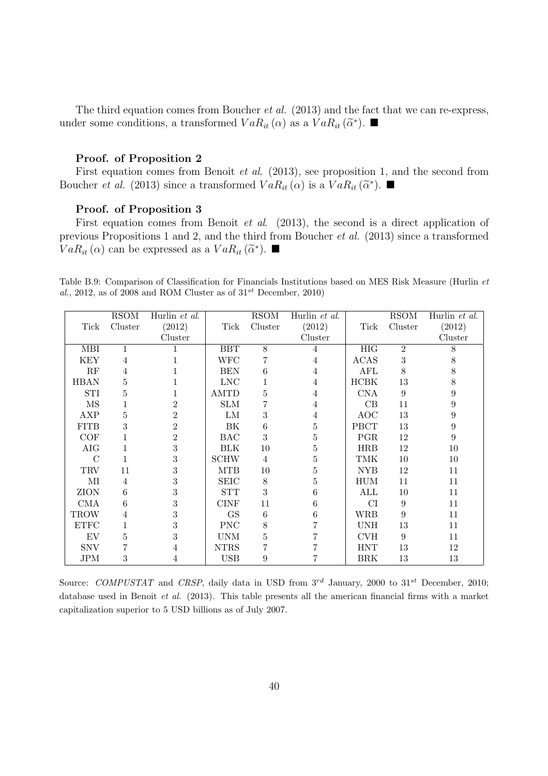The third equation comes from Boucher *et al.* (2013) and the fact that we can re-express, under some conditions, a transformed  $VaR_{it}(\alpha)$  as a  $VaR_{it}(\widetilde{\alpha}^*)$ .

## **Proof. of Proposition 2**

First equation comes from Benoit et al. (2013), see proposition 1, and the second from Boucher *et al.* (2013) since a transformed  $VaR_{it}(\alpha)$  is a  $VaR_{it}(\widetilde{\alpha}^*)$ .

# **Proof. of Proposition 3**

First equation comes from Benoit *et al.* (2013), the second is a direct application of previous Propositions 1 and 2, and the third from Boucher et al. (2013) since a transformed  $VaR_{it}(\alpha)$  can be expressed as a  $VaR_{it}(\widetilde{\alpha}^*)$ .

Table B.9: Comparison of Classification for Financials Institutions based on MES Risk Measure (Hurlin *et* al., 2012, as of 2008 and ROM Cluster as of  $31^{st}$  December, 2010)

|                       | <b>RSOM</b> | Hurlin et al.    |                       | <b>RSOM</b>    | Hurlin et al.  |             | <b>RSOM</b>    | Hurlin et al. |
|-----------------------|-------------|------------------|-----------------------|----------------|----------------|-------------|----------------|---------------|
| Tick                  | Cluster     | (2012)           | Tick                  | Cluster        | (2012)         | Tick        | Cluster        | (2012)        |
|                       |             | Cluster          |                       |                | Cluster        |             |                | Cluster       |
| MBI                   | 1           |                  | <b>BBT</b>            | 8              | $\overline{4}$ | HIG         | $\overline{2}$ | 8             |
| <b>KEY</b>            | 4           |                  | WFC                   |                | 4              | <b>ACAS</b> | 3              | 8             |
| RF                    | 4           |                  | <b>BEN</b>            | 6              | 4              | <b>AFL</b>  | 8              | 8             |
| <b>HBAN</b>           | 5           |                  | <b>LNC</b>            |                | 4              | HCBK        | 13             | 8             |
| STI                   | 5           |                  | $\operatorname{AMTD}$ | 5              | 4              | <b>CNA</b>  | 9              | 9             |
| $\rm{MS}$             |             | $\overline{2}$   | <b>SLM</b>            |                | 4              | CB          | 11             | 9             |
| AXP                   | 5           | $\overline{2}$   | LM                    | 3              | 4              | <b>AOC</b>  | 13             | 9             |
| <b>FITB</b>           | 3           | $\boldsymbol{2}$ | BK                    | 6              | 5              | <b>PBCT</b> | 13             | 9             |
| COF                   |             | $\overline{2}$   | <b>BAC</b>            | 3              | 5              | PGR         | 12             | 9             |
| AIG                   |             | 3                | <b>BLK</b>            | 10             | 5              | <b>HRB</b>  | 12             | 10            |
| $\mathcal{C}$         |             | 3                | <b>SCHW</b>           | $\overline{4}$ | 5              | <b>TMK</b>  | 10             | 10            |
| <b>TRV</b>            | 11          | 3                | <b>MTB</b>            | 10             | 5              | <b>NYB</b>  | 12             | 11            |
| МI                    | 4           | 3                | <b>SEIC</b>           | $8\,$          | 5              | HUM         | 11             | 11            |
| ZION                  | 6           | 3                | <b>STT</b>            | 3              | 6              | ALL         | 10             | 11            |
| <b>CMA</b>            | 6           | 3                | <b>CINF</b>           | 11             | 6              | CI          | 9              | 11            |
| <b>TROW</b>           | 4           | 3                | GS                    | 6              | 6              | <b>WRB</b>  | 9              | 11            |
| $\operatorname{ETFC}$ |             | 3                | <b>PNC</b>            | 8              |                | <b>UNH</b>  | 13             | 11            |
| EV                    | 5           | 3                | <b>UNM</b>            | 5              |                | <b>CVH</b>  | 9              | 11            |
| <b>SNV</b>            |             | 4                | <b>NTRS</b>           |                |                | ${\rm HNT}$ | 13             | 12            |
| JPM                   | 3           | 4                | <b>USB</b>            | 9              |                | BRK         | 13             | 13            |

Source: *COMPUSTAT* and *CRSP*, daily data in USD from  $3^{rd}$  January, 2000 to  $31^{st}$  December, 2010; database used in Benoit *et al*. (2013). This table presents all the american financial firms with a market capitalization superior to 5 USD billions as of July 2007.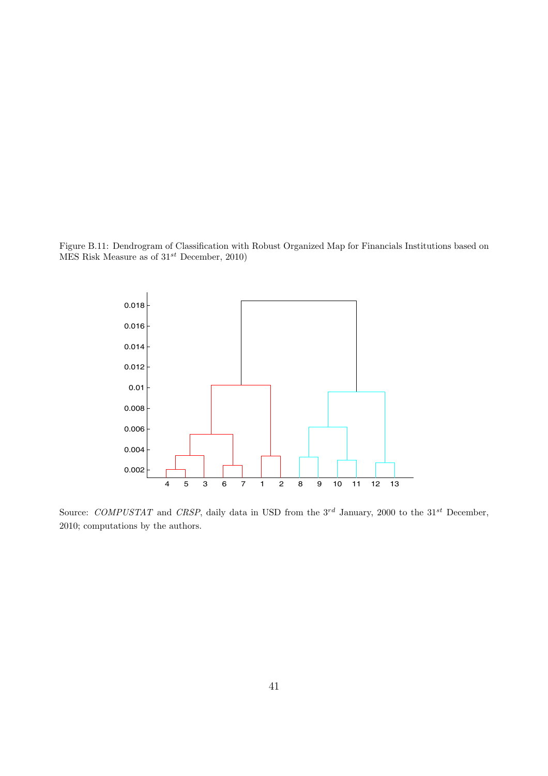Figure B.11: Dendrogram of Classification with Robust Organized Map for Financials Institutions based on MES Risk Measure as of 31*st* December, 2010)



Source: *COMPUSTAT* and *CRSP*, daily data in USD from the 3<sup>rd</sup> January, 2000 to the 31<sup>st</sup> December, 2010; computations by the authors.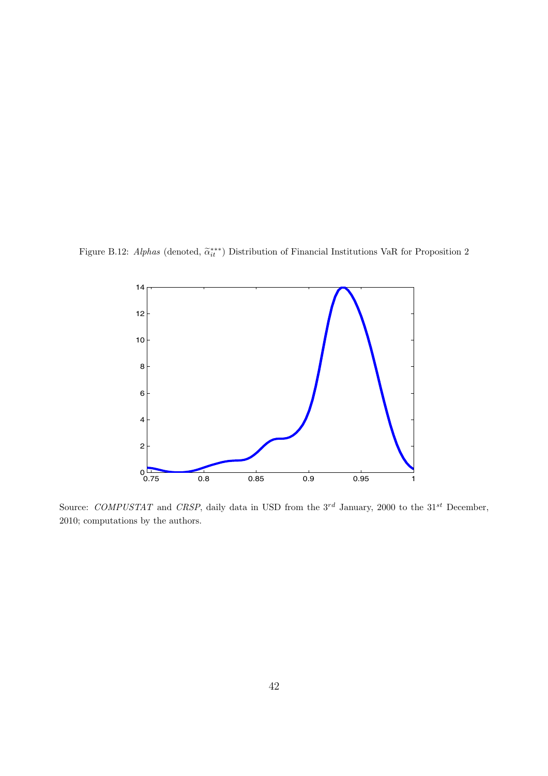Figure B.12: *Alphas* (denoted,  $\tilde{\alpha}_{it}^{***}$ ) Distribution of Financial Institutions VaR for Proposition 2



Source: *COMPUSTAT* and *CRSP*, daily data in USD from the 3<sup>rd</sup> January, 2000 to the 31<sup>st</sup> December, 2010; computations by the authors.